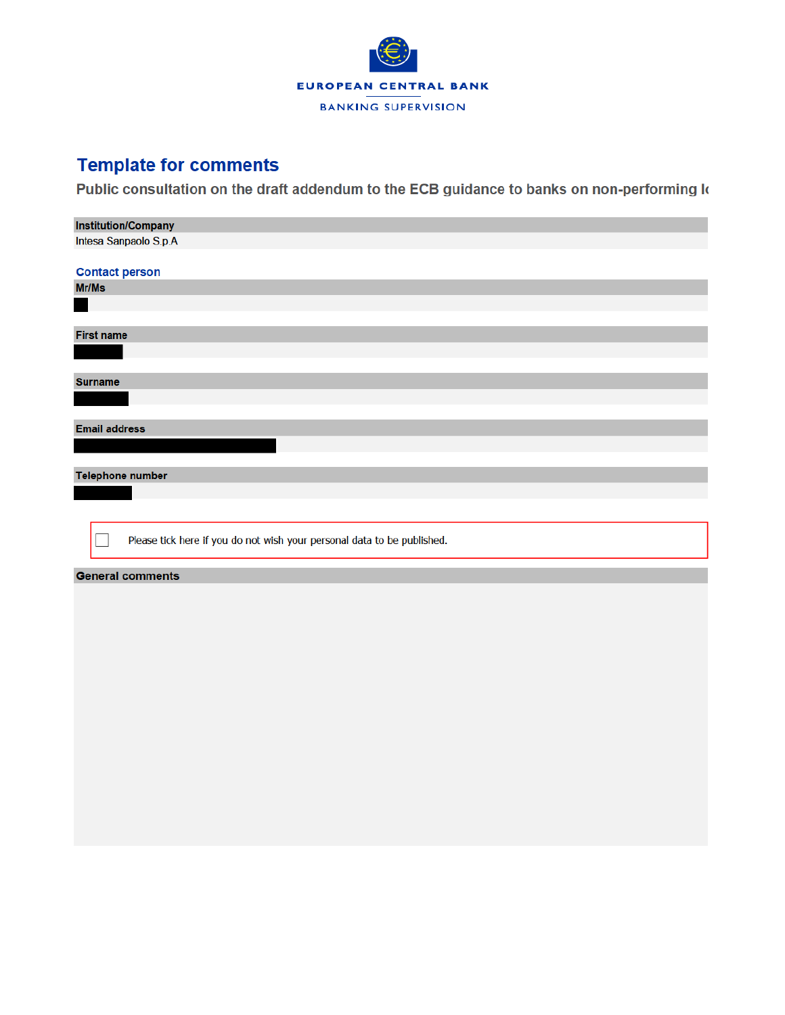

## **Template for comments**

Public consultation on the draft addendum to the ECB guidance to banks on non-performing k

| <b>Institution/Company</b>                                              |
|-------------------------------------------------------------------------|
| Intesa Sanpaolo S.p.A                                                   |
|                                                                         |
| <b>Contact person</b>                                                   |
| Mr/Ms                                                                   |
|                                                                         |
|                                                                         |
| <b>First name</b>                                                       |
|                                                                         |
|                                                                         |
| <b>Surname</b>                                                          |
|                                                                         |
|                                                                         |
| <b>Email address</b>                                                    |
|                                                                         |
|                                                                         |
| <b>Telephone number</b>                                                 |
|                                                                         |
|                                                                         |
|                                                                         |
| Please tick here if you do not wish your personal data to be published. |
|                                                                         |
| <b>General comments</b>                                                 |
|                                                                         |
|                                                                         |
|                                                                         |
|                                                                         |
|                                                                         |
|                                                                         |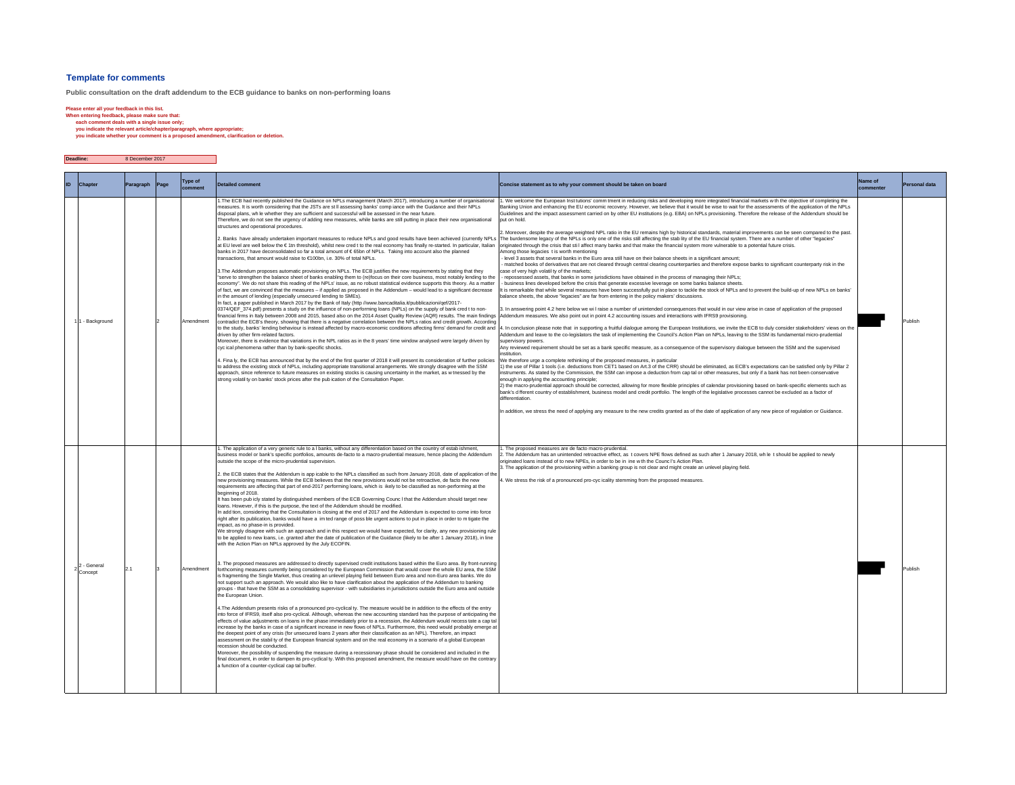#### **Template for comments**

**Public consultation on the draft addendum to the ECB guidance to banks on non-performing loans**

Please enter all your feedback in this list.<br>When entering feedback, please make sure that:<br>each comment deals with a single issue only;<br>exploring the relevant article/chapter/paragraph, where appropriate;<br>you indicate whe

#### $\mathcal{L}(\mathcal{A})$ **Deadline:** 8 December 2017

| ID. | <b>Chapter</b>         | Paragraph | Page | <b>Type of</b> | <b>Detailed comment</b>                                                                                                                                                                                                                                                                                                                                                                                                                                                                                                                                                                                                                                                                                                                                                                                                                                                                                                                                                                                                                                                                                                                                                                                                                                                                                                                                                                                                                                                                                                                                                                                                                                                                                                                                                                                                                                                                                                                                                                                                                                                                                                                                                                                                                                                                                                                                                                                                                                                                                                                                                                                                                                                                                                                                                                                                                                                                                                                                                                                                                                                                                                                                                                                                                                                                                                                                                                                                    | Concise statement as to why your comment should be taken on board                                                                                                                                                                                                                                                                                                                                                                                                                                                                                                                                                                                                                                                                                                                                                                                                                                                                                                                                                                                                                                                                                                                                                                                                                                                                                                                                                                                                                                                                                                                                                                                                                                                                                                                                                                                                                                                                                                                                                                                                                                                                                                                                                                                                                                                                                                                                                                                                                                                                                                                                                                                                                                                                                                                                                                                                                                                                                                                                                                                                                                                                                                                                                                                                                                                                                                                                                                                                                                                                                                                                                                                                                                                                                                                | Name of<br>ommenter | Personal data |
|-----|------------------------|-----------|------|----------------|----------------------------------------------------------------------------------------------------------------------------------------------------------------------------------------------------------------------------------------------------------------------------------------------------------------------------------------------------------------------------------------------------------------------------------------------------------------------------------------------------------------------------------------------------------------------------------------------------------------------------------------------------------------------------------------------------------------------------------------------------------------------------------------------------------------------------------------------------------------------------------------------------------------------------------------------------------------------------------------------------------------------------------------------------------------------------------------------------------------------------------------------------------------------------------------------------------------------------------------------------------------------------------------------------------------------------------------------------------------------------------------------------------------------------------------------------------------------------------------------------------------------------------------------------------------------------------------------------------------------------------------------------------------------------------------------------------------------------------------------------------------------------------------------------------------------------------------------------------------------------------------------------------------------------------------------------------------------------------------------------------------------------------------------------------------------------------------------------------------------------------------------------------------------------------------------------------------------------------------------------------------------------------------------------------------------------------------------------------------------------------------------------------------------------------------------------------------------------------------------------------------------------------------------------------------------------------------------------------------------------------------------------------------------------------------------------------------------------------------------------------------------------------------------------------------------------------------------------------------------------------------------------------------------------------------------------------------------------------------------------------------------------------------------------------------------------------------------------------------------------------------------------------------------------------------------------------------------------------------------------------------------------------------------------------------------------------------------------------------------------------------------------------------------------|----------------------------------------------------------------------------------------------------------------------------------------------------------------------------------------------------------------------------------------------------------------------------------------------------------------------------------------------------------------------------------------------------------------------------------------------------------------------------------------------------------------------------------------------------------------------------------------------------------------------------------------------------------------------------------------------------------------------------------------------------------------------------------------------------------------------------------------------------------------------------------------------------------------------------------------------------------------------------------------------------------------------------------------------------------------------------------------------------------------------------------------------------------------------------------------------------------------------------------------------------------------------------------------------------------------------------------------------------------------------------------------------------------------------------------------------------------------------------------------------------------------------------------------------------------------------------------------------------------------------------------------------------------------------------------------------------------------------------------------------------------------------------------------------------------------------------------------------------------------------------------------------------------------------------------------------------------------------------------------------------------------------------------------------------------------------------------------------------------------------------------------------------------------------------------------------------------------------------------------------------------------------------------------------------------------------------------------------------------------------------------------------------------------------------------------------------------------------------------------------------------------------------------------------------------------------------------------------------------------------------------------------------------------------------------------------------------------------------------------------------------------------------------------------------------------------------------------------------------------------------------------------------------------------------------------------------------------------------------------------------------------------------------------------------------------------------------------------------------------------------------------------------------------------------------------------------------------------------------------------------------------------------------------------------------------------------------------------------------------------------------------------------------------------------------------------------------------------------------------------------------------------------------------------------------------------------------------------------------------------------------------------------------------------------------------------------------------------------------------------------------------------------------|---------------------|---------------|
|     | - Background           |           |      | Amendment      | The ECB had recently published the Guidance on NPLs management (March 2017), introducing a number of organisational<br>neasures. It is worth considering that the JSTs are st II assessing banks' comp iance with the Guidance and their NPLs<br>disposal plans, wh le whether they are sufficient and successful will be assessed in the near future.<br>Therefore, we do not see the urgency of adding new measures, while banks are still putting in place their new organisational<br>structures and operational procedures.<br>.<br>8. Banks have already undertaken important measures to reduce NPLs and good results have been achieved (currently NPL<br>at EU level are well below the €1tn threshold), whilst new cred t to the real economy has finally re-started. In particular, Italian<br>banks in 2017 have deconsolidated so far a total amount of €65bn of NPLs. Taking into account also the planned<br>ransactions, that amount would raise to €100bn, i.e. 30% of total NPLs.<br>3. The Addendum proposes automatic provisioning on NPLs. The ECB justifies the new requirements by stating that they<br>serve to strengthen the balance sheet of banks enabling them to (re)focus on their core business, most notably lending to the<br>economy". We do not share this reading of the NPLs' issue, as no robust statistical evidence supports this theory. As a matter<br>of fact, we are convinced that the measures - if applied as proposed in the Addendum - would lead to a significant decrease<br>in the amount of lending (especially unsecured lending to SMEs).<br>n fact, a paper published in March 2017 by the Bank of Italy (http //www.bancaditalia.it/pubblicazioni/qef/2017-<br>0374/QEF_374.pdf) presents a study on the influence of non-performing loans (NPLs) on the supply of bank cred t to non-<br>financial firms in Italy between 2008 and 2015, based also on the 2014 Asset Quality Review (AQR) results. The main findings<br>contradict the ECB's theory, showing that there is a negative correlation between the NPLs ratios and credit growth. According<br>driven by other firm-related factors.<br>Moreover, there is evidence that variations in the NPL ratios as in the 8 years' time window analysed were largely driven by<br>cyc ical phenomena rather than by bank-specific shocks.<br>4. Fina ly, the ECB has announced that by the end of the first quarter of 2018 it will present its consideration of further policies<br>to address the existing stock of NPLs, including appropriate transitional arrangements. We strongly disagree with the SSM<br>approach, since reference to future measures on existing stocks is causing uncertainty in the market, as w tnessed by the<br>strong volatil ty on banks' stock prices after the pub ication of the Consultation Paper.                                                                                                                                                                                                                                                                                                                                                                                                                                                                                                                                                                      | 1. We welcome the European Inst tutions' comm tment in reducing risks and developing more integrated financial markets w th the objective of completing the<br>Banking Union and enhancing the EU economic recovery. However, we believe that it would be wise to wait for the assessments of the application of the NPLs<br>Guidelines and the impact assessment carried on by other EU institutions (e.g. EBA) on NPLs provisioning. Therefore the release of the Addendum should be<br>put on hold<br>Moreover, despite the average weighted NPL ratio in the EU remains high by historical standards, material improvements can be seen compared to the past.<br>The burdensome legacy of the NPLs is only one of the risks still affecting the stab lity of the EU financial system. There are a number of other "legacies"<br>originated through the crisis that stil affect many banks and that make the financial system more vulnerable to a potential future crisis.<br>Among those legacies t is worth mentioning<br>- level 3 assets that several banks in the Euro area still have on their balance sheets in a significant amount;<br>- matched books of derivatives that are not cleared through central clearing counterparties and therefore expose banks to significant counterparty risk in the<br>case of very high volatil ty of the markets;<br>repossessed assets, that banks in some jurisdictions have obtained in the process of managing their NPLs;<br>business lines developed before the crisis that generate excessive leverage on some banks balance sheets.<br>It is remarkable that while several measures have been successfully put in place to tackle the stock of NPLs and to prevent the build-up of new NPLs on banks'<br>palance sheets, the above "legacies" are far from entering in the policy makers' discussions.<br>. In answering point 4.2 here below we will raise a number of unintended consequences that would in our view arise in case of application of the proposed<br>Addendum measures. We also point out in point 4.2 accounting issues and interactions with IFRS9 provisioning.<br>to the study, banks' lending behaviour is instead affected by macro-economic conditions affecting firms' demand for credit and  4. In conclusion please note that in supporting a fruitful dialogue among the European Institu<br>Addendum and leave to the co-legislators the task of implementing the Council's Action Plan on NPLs, leaving to the SSM its fundamental micro-prudential<br>supervisory powers<br>Any reviewed requirement should be set as a bank specific measure, as a consequence of the supervisory dialogue between the SSM and the supervised<br>institution.<br>We therefore urge a complete rethinking of the proposed measures, in particular<br>1) the use of Pillar 1 tools (i.e. deductions from CET1 based on Art.3 of the CRR) should be eliminated, as ECB's expectations can be satisfied only by Pillar 2<br>instruments. As stated by the Commission, the SSM can impose a deduction from cap tal or other measures, but only if a bank has not been conservative<br>enough in applying the accounting principle:<br>2) the macro-prudential approach should be corrected, allowing for more flexible principles of calendar provisioning based on bank-specific elements such as<br>bank's d fferent country of establishment, business model and credit portfolio. The length of the legislative processes cannot be excluded as a factor of<br>differentiation.<br>In addition, we stress the need of applying any measure to the new credits granted as of the date of application of any new piece of regulation or Guidance.<br>The proposed measures are de facto macro-prudential. |                     | Publish       |
|     | 2 - General<br>Concept | 2.1       |      | Amendment      | . The application of a very generic rule to a I banks, without any differentiation based on the country of estab ishment,<br>business model or bank's specific portfolios, amounts de-facto to a macro-prudential measure, hence placing the Addendum<br>outside the scope of the micro-prudential supervision.<br>2. the ECB states that the Addendum is app icable to the NPLs classified as such from January 2018, date of application of th<br>new provisioning measures. While the ECB believes that the new provisions would not be retroactive, de facto the new<br>requirements are affecting that part of end-2017 performing loans, which is ikely to be classified as non-performing at the<br>heainning of 2018.<br>It has been pub icly stated by distinguished members of the ECB Governing Counc I that the Addendum should target new<br>loans. However, if this is the purpose, the text of the Addendum should be modified.<br>n add tion, considering that the Consultation is closing at the end of 2017 and the Addendum is expected to come into force<br>right after its publication, banks would have a im ted range of poss ble urgent actions to put in place in order to m tigate the<br>impact, as no phase-in is provided.<br>We strongly disagree with such an approach and in this respect we would have expected, for clarity, any new provisioning rule<br>to be applied to new loans, i.e. granted after the date of publication of the Guidance (likely to be after 1 January 2018), in line<br>with the Action Plan on NPLs approved by the July ECOFIN.<br>3. The proposed measures are addressed to directly supervised credit institutions based within the Euro area. By front-running<br>forthcoming measures currently being considered by the European Commission that would cover the whole EU area, the SSM<br>is fragmenting the Single Market, thus creating an unlevel playing field between Euro area and non-Euro area banks. We do<br>not support such an approach. We would also like to have clarification about the application of the Addendum to banking<br>groups - that have the SSM as a consolidating supervisor - with subsidiaries in iurisdictions outside the Euro area and outside<br>the European Union.<br>4. The Addendum presents risks of a pronounced pro-cyclical tv. The measure would be in addition to the effects of the entry<br>into force of IFRS9, itself also pro-cyclical. Although, whereas the new accounting standard has the purpose of anticipating the<br>effects of value adjustments on loans in the phase immediately prior to a recession, the Addendum would necess tate a cap tal<br>increase by the banks in case of a significant increase in new flows of NPLs. Furthermore, this need would probably emerge at<br>the deepest point of any crisis (for unsecured loans 2 years after their classification as an NPL). Therefore, an impact<br>assessment on the stabil ty of the European financial system and on the real economy in a scenario of a global European<br>recession should be conducted.<br>Moreover, the possibility of suspending the measure during a recessionary phase should be considered and included in the<br>final document, in order to dampen its pro-cyclical ty. With this proposed amendment, the measure would have on the contrary<br>a function of a counter-cyclical cap tal buffer. | 2. The Addendum has an unintended retroactive effect, as t covers NPE flows defined as such after 1 January 2018, wh le t should be applied to newly<br>originated loans instead of to new NPEs, in order to be in ine w th the Counc I's Action Plan.<br>I. The application of the provisioning within a banking group is not clear and might create an unlevel playing field.<br>. We stress the risk of a pronounced pro-cyc icality stemming from the proposed measures.                                                                                                                                                                                                                                                                                                                                                                                                                                                                                                                                                                                                                                                                                                                                                                                                                                                                                                                                                                                                                                                                                                                                                                                                                                                                                                                                                                                                                                                                                                                                                                                                                                                                                                                                                                                                                                                                                                                                                                                                                                                                                                                                                                                                                                                                                                                                                                                                                                                                                                                                                                                                                                                                                                                                                                                                                                                                                                                                                                                                                                                                                                                                                                                                                                                                                                     |                     |               |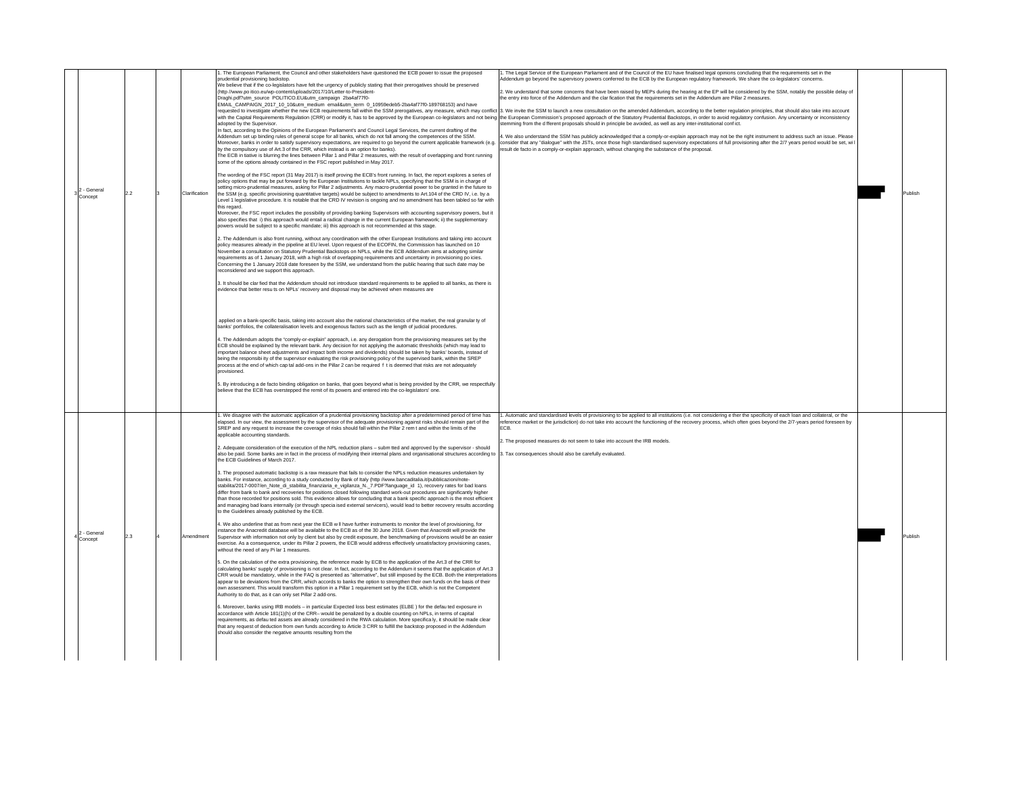| 2 - General<br>Concept | 22  | Clarification | . The European Parliament, the Council and other stakeholders have questioned the ECB power to issue the proposed<br>prudential provisioning backstop.<br>We believe that if the co-legislators have felt the urgency of publicly stating that their prerogatives should be preserved<br>(http //www.po itico.eu/wp-content/uploads/2017/10/Letter-to-President-<br>Draghi.pdf?utm_source_POLITICO.EU&utm_campaign_2ba4af77f0-<br>EMAIL_CAMPAIGN_2017_10_10&utm_medium email&utm_term 0_10959edeb5-2ba4af77f0-189768153) and have<br>adopted by the Supervisor.<br>In fact, according to the Opinions of the European Parliament's and Council Legal Services, the current drafting of the<br>Addendum set up binding rules of general scope for all banks, which do not fall among the competences of the SSM.<br>Moreover, banks in order to satisfy supervisory expectations, are required to go beyond the current applicable framework (e.g<br>by the compulsory use of Art.3 of the CRR, which instead is an option for banks).<br>The ECB in tiative is blurring the lines between Pillar 1 and Pillar 2 measures, with the result of overlapping and front running<br>some of the options already contained in the FSC report published in May 2017.<br>The wording of the FSC report (31 May 2017) is itself proving the ECB's front running. In fact, the report explores a series of<br>policy options that may be put forward by the European Institutions to tackle NPLs, specifying that the SSM is in charge of<br>setting micro-prudential measures, asking for Pillar 2 adjustments. Any macro-prudential power to be granted in the future to<br>the SSM (e.g. specific provisioning quantitative targets) would be subject to amendments to Art.104 of the CRD IV, i.e. by a<br>evel 1 legislative procedure. It is notable that the CRD IV revision is ongoing and no amendment has been tabled so far with<br>this regard<br>Moreover, the FSC report includes the possibility of providing banking Supervisors with accounting supervisory powers, but it<br>also specifies that i) this approach would entail a radical change in the current European framework: ii) the supplementary<br>powers would be subject to a specific mandate; iii) this approach is not recommended at this stage.<br>2. The Addendum is also front running, without any coordination with the other European Institutions and taking into account<br>policy measures already in the pipeline at EU level. Upon request of the ECOFIN, the Commission has launched on 10<br>November a consultation on Statutory Prudential Backstops on NPLs, while the ECB Addendum aims at adopting similar<br>requirements as of 1 January 2018, with a high risk of overlapping requirements and uncertainty in provisioning po icies.<br>Concerning the 1 January 2018 date foreseen by the SSM, we understand from the public hearing that such date may be<br>reconsidered and we support this approach.<br>3. It should be clar fied that the Addendum should not introduce standard requirements to be applied to all banks, as there is<br>evidence that better resu ts on NPLs' recovery and disposal may be achieved when measures are<br>applied on a bank-specific basis, taking into account also the national characteristics of the market, the real granular ty of<br>banks' portfolios, the collateralisation levels and exogenous factors such as the length of judicial procedures.<br>4. The Addendum adopts the "comply-or-explain" approach, i.e. any derogation from the provisioning measures set by the<br>ECB should be explained by the relevant bank. Any decision for not applying the automatic thresholds (which may lead to<br>important balance sheet adjustments and impact both income and dividends) should be taken by banks' boards, instead of<br>being the responsibi ity of the supervisor evaluating the risk provisioning policy of the supervised bank, within the SREP<br>process at the end of which cap tal add-ons in the Pillar 2 can be required f t is deemed that risks are not adequately<br>provisioned.<br>5. By introducing a de facto binding obligation on banks, that goes beyond what is being provided by the CRR, we respectfully | The Legal Service of the European Parliament and of the Council of the EU have finalised legal opinions concluding that the requirements set in the<br>Addendum go beyond the supervisory powers conferred to the ECB by the European regulatory framework. We share the co-legislators' concerns.<br>2. We understand that some concems that have been raised by MEPs during the hearing at the EP will be considered by the SSM, notably the possible delay of<br>he entry into force of the Addendum and the clar fication that the requirements set in the Addendum are Pillar 2 measures.<br>equested to investigate whether the new ECB requirements fall within the SSM prerogatives, any measure, which may conflict 3. We invite the SSM to launch a new consultation on the amended Addendum, according to the better<br>with the Capital Requirements Regulation (CRR) or modify it, has to be approved by the European co-legislators and not being the European Commission's proposed approach of the Statutory Prudential Backstops, in order to av<br>mming from the different proposals should in principle be avoided, as well as any inter-institutional confict.<br>. We also understand the SSM has publicly acknowledged that a comply-or-explain approach may not be the right instrument to address such an issue. Please<br>consider that any "dialogue" with the JSTs, once those high standardised supervisory expectations of full provisioning after the 2/7 years period would be set, wi I<br>esult de facto in a comply-or-explain approach, without changing the substance of the proposal. | Publish |
|------------------------|-----|---------------|---------------------------------------------------------------------------------------------------------------------------------------------------------------------------------------------------------------------------------------------------------------------------------------------------------------------------------------------------------------------------------------------------------------------------------------------------------------------------------------------------------------------------------------------------------------------------------------------------------------------------------------------------------------------------------------------------------------------------------------------------------------------------------------------------------------------------------------------------------------------------------------------------------------------------------------------------------------------------------------------------------------------------------------------------------------------------------------------------------------------------------------------------------------------------------------------------------------------------------------------------------------------------------------------------------------------------------------------------------------------------------------------------------------------------------------------------------------------------------------------------------------------------------------------------------------------------------------------------------------------------------------------------------------------------------------------------------------------------------------------------------------------------------------------------------------------------------------------------------------------------------------------------------------------------------------------------------------------------------------------------------------------------------------------------------------------------------------------------------------------------------------------------------------------------------------------------------------------------------------------------------------------------------------------------------------------------------------------------------------------------------------------------------------------------------------------------------------------------------------------------------------------------------------------------------------------------------------------------------------------------------------------------------------------------------------------------------------------------------------------------------------------------------------------------------------------------------------------------------------------------------------------------------------------------------------------------------------------------------------------------------------------------------------------------------------------------------------------------------------------------------------------------------------------------------------------------------------------------------------------------------------------------------------------------------------------------------------------------------------------------------------------------------------------------------------------------------------------------------------------------------------------------------------------------------------------------------------------------------------------------------------------------------------------------------------------------------------------------------------------------------------------------------------------------------------------------------------------------------------------------------------------------------------------------------------------------------------------------------------------------------------------------------------------------------------------------------------------------------------------------------------------------------------------------------------------------------------------------------------------------------------------------------------|-----------------------------------------------------------------------------------------------------------------------------------------------------------------------------------------------------------------------------------------------------------------------------------------------------------------------------------------------------------------------------------------------------------------------------------------------------------------------------------------------------------------------------------------------------------------------------------------------------------------------------------------------------------------------------------------------------------------------------------------------------------------------------------------------------------------------------------------------------------------------------------------------------------------------------------------------------------------------------------------------------------------------------------------------------------------------------------------------------------------------------------------------------------------------------------------------------------------------------------------------------------------------------------------------------------------------------------------------------------------------------------------------------------------------------------------------------------------------------------------------------------------------------------------------------------------------------------------------------------------------------|---------|
| - General<br>taeono?   | 2.3 | Amendment     | believe that the ECB has overstepped the remit of its powers and entered into the co-legislators' one.<br>1. We disagree with the automatic application of a prudential provisioning backstop after a predetermined period of time has<br>elapsed. In our view, the assessment by the supervisor of the adequate provisioning against risks should remain part of the<br>SREP and any request to increase the coverage of risks should fall within the Pillar 2 rem t and within the limits of the<br>applicable accounting standards.<br>2. Adequate consideration of the execution of the NPL reduction plans - subm tted and approved by the supervisor - should<br>also be paid. Some banks are in fact in the process of modifying their internal plans and organisational structures according to<br>the ECB Guidelines of March 2017.<br>3. The proposed automatic backstop is a raw measure that fails to consider the NPLs reduction measures undertaken by<br>banks. For instance, according to a study conducted by Bank of Italy (http://www.bancaditalia.it/pubblicazioni/note-<br>stabilita/2017-0007/en_Note_di_stabilita_finanziaria_e_vigilanza_N._7.PDF?language_id 1), recovery rates for bad loans<br>differ from bank to bank and recoveries for positions closed following standard work-out procedures are significantly higher<br>than those recorded for positions sold. This evidence allows for concluding that a bank specific approach is the most efficient<br>and managing bad loans internally (or through specia ised external servicers), would lead to better recovery results according<br>to the Guidelines already published by the ECB.<br>4. We also underline that as from next year the ECB w II have further instruments to monitor the level of provisioning, for<br>instance the Anacredit database will be available to the ECB as of the 30 June 2018. Given that Anacredit will provide the<br>Supervisor with information not only by client but also by credit exposure, the benchmarking of provisions would be an easier<br>exercise. As a consequence, under its Pillar 2 powers, the ECB would address effectively unsatisfactory provisioning cases,<br>without the need of any Pi lar 1 measures.<br>5. On the calculation of the extra provisioning, the reference made by ECB to the application of the Art.3 of the CRR for<br>calculating banks' supply of provisioning is not clear. In fact, according to the Addendum it seems that the application of Art.3<br>CRR would be mandatory, while in the FAQ is presented as "alternative", but still imposed by the ECB. Both the interpretations<br>appear to be deviations from the CRR, which accords to banks the option to strengthen their own funds on the basis of their<br>own assessment. This would transform this option in a Pillar 1 requirement set by the ECB, which is not the Competent<br>Authority to do that, as it can only set Pillar 2 add-ons.<br>6. Moreover, banks using IRB models - in particular Expected loss best estimates (ELBE) for the defau ted exposure in<br>accordance with Article 181(1)(h) of the CRR- would be penalized by a double counting on NPLs, in terms of capital<br>requirements, as defau ted assets are already considered in the RWA calculation. More specifica ly, it should be made clear<br>that any request of deduction from own funds according to Article 3 CRR to fulfill the backstop proposed in the Addendum<br>should also consider the negative amounts resulting from the                                                                                                                                                                                                                                                                                                                                                                                                                                                                                                                                                                                                                                                                                                                         | . Automatic and standardised levels of provisioning to be applied to all institutions (i.e. not considering e ther the specificity of each loan and collateral, or the<br>reference market or the jurisdiction) do not take into account the functioning of the recovery process, which often goes beyond the 2/7-years period foreseen by<br><b>FCB</b><br>The proposed measures do not seem to take into account the IRB models.<br>Tax consequences should also be carefully evaluated                                                                                                                                                                                                                                                                                                                                                                                                                                                                                                                                                                                                                                                                                                                                                                                                                                                                                                                                                                                                                                                                                                                                   | Publish |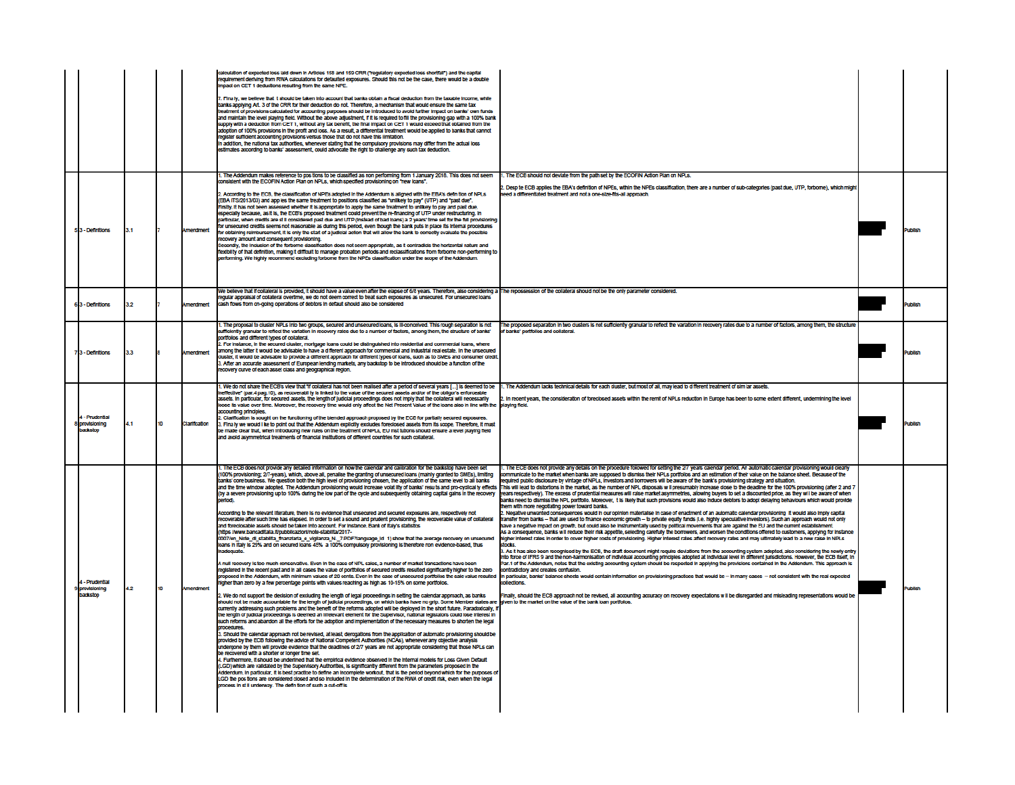|                                              |     |    |                  | calculation of expected loss laid down in Articles 158 and 159 CRR ("requiatory expected loss shortfall") and the capital<br>requirement deriving from RWA calculations for defaulted exposures. Should this not be the case, there would be a double<br>Impact on CET 1 deductions resulting from the same NPE.<br>7. Finally, we believe that it should be taken into account that banks obtain a fiscal deduction from the taxable income, while<br>banks applying Art. 3 of the CRR for their deduction do not. Therefore, a mechanism that would ensure the same tax<br>treatment of provisions calculated for accounting purposes should be introduced to avoid further impact on banks' own funds<br>and maintain the level playing field. Without the above adjustment, if it is required to fill the provisioning gap with a 100% bank<br>supply with a deduction from CET 1, without any tax benefit, the final impact on CET 1 would exceed that obtained from the<br>adoption of 100% provisions in the profit and loss. As a result, a differential treatment would be applied to banks that cannot<br>egister sufficient accounting provisions versus those that do not have this limitation.<br>In add tion, the national tax authorities, whenever stating that the compulsory provisions may differ from the actual loss<br>stimates according to banks' assessment, could advocate the right to challenge any such tax deduction.                                                                                                                                                                                                                                                                                                                                                                                                                                                                                                                                                                                                                                                                                                                                                                                                                                                                                                                                                                                                                                                                                                                                                                                                                                                                                                                                                                                                                                                                                                                                                                                                                                                                                                                                                                                                                                                                                                                                                                                                                                                                                                                                                     |                                                                                                                                                                                                                                                                                                                                                                                                                                                                                                                                                                                                                                                                                                                                                                                                                                                                                                                                                                                                                                                                                                                                                                                                                                                                                                                                                                                                                                                                                                                                                                                                                                                                                                                                                                                                                                                                                                                                                                                                                                                                                                                                                                                                                                                                                                                                                                                                                                                                                     |                |
|----------------------------------------------|-----|----|------------------|---------------------------------------------------------------------------------------------------------------------------------------------------------------------------------------------------------------------------------------------------------------------------------------------------------------------------------------------------------------------------------------------------------------------------------------------------------------------------------------------------------------------------------------------------------------------------------------------------------------------------------------------------------------------------------------------------------------------------------------------------------------------------------------------------------------------------------------------------------------------------------------------------------------------------------------------------------------------------------------------------------------------------------------------------------------------------------------------------------------------------------------------------------------------------------------------------------------------------------------------------------------------------------------------------------------------------------------------------------------------------------------------------------------------------------------------------------------------------------------------------------------------------------------------------------------------------------------------------------------------------------------------------------------------------------------------------------------------------------------------------------------------------------------------------------------------------------------------------------------------------------------------------------------------------------------------------------------------------------------------------------------------------------------------------------------------------------------------------------------------------------------------------------------------------------------------------------------------------------------------------------------------------------------------------------------------------------------------------------------------------------------------------------------------------------------------------------------------------------------------------------------------------------------------------------------------------------------------------------------------------------------------------------------------------------------------------------------------------------------------------------------------------------------------------------------------------------------------------------------------------------------------------------------------------------------------------------------------------------------------------------------------------------------------------------------------------------------------------------------------------------------------------------------------------------------------------------------------------------------------------------------------------------------------------------------------------------------------------------------------------------------------------------------------------------------------------------------------------------------------------------------------------------------------------------------------------------------------------------|-------------------------------------------------------------------------------------------------------------------------------------------------------------------------------------------------------------------------------------------------------------------------------------------------------------------------------------------------------------------------------------------------------------------------------------------------------------------------------------------------------------------------------------------------------------------------------------------------------------------------------------------------------------------------------------------------------------------------------------------------------------------------------------------------------------------------------------------------------------------------------------------------------------------------------------------------------------------------------------------------------------------------------------------------------------------------------------------------------------------------------------------------------------------------------------------------------------------------------------------------------------------------------------------------------------------------------------------------------------------------------------------------------------------------------------------------------------------------------------------------------------------------------------------------------------------------------------------------------------------------------------------------------------------------------------------------------------------------------------------------------------------------------------------------------------------------------------------------------------------------------------------------------------------------------------------------------------------------------------------------------------------------------------------------------------------------------------------------------------------------------------------------------------------------------------------------------------------------------------------------------------------------------------------------------------------------------------------------------------------------------------------------------------------------------------------------------------------------------------|----------------|
| 53 - Definitions                             | 3.1 |    | <b>Amendment</b> | 1. The Addendum makes reference to positions to be classified as non performing from 1 January 2018. This does not seem<br>consistent with the ECOFIN Action Plan on NPLs, which specified provisioning on "new loans".<br>2. According to the ECB, the classification of NPEs adopted in the Addendum is aligned with the EBA's defin tion of NPLs<br>(EBA ITS/2013/03) and applies the same treatment to positions classified as "unlikely to pay" (UTP) and "past due".<br>.<br>Firstly, it has not been assessed whether it is appropriate to apply the same treatment to unlikely to pay and past due,<br>especially because, as it is, the ECB's proposed treatment could prevent the re-imancing of UTP under restructuring. In<br>particular, when credits are still considered past due and UTP (instead of bad loans) a 2 years' time set for the full provisioning<br>for unsecured credits seems not reasonable as during this period, even though the bank puts in place its internal procedures<br>or obtaining reimbursement, it is only the start of a judicial action that will allow the bank to correctly evaluate the possible<br>ecovery amount and consequent provisioning.<br>Secondly, the Inclusion of the forborne classification does not seem appropriate, as it contradicts the horizontal nature and<br>lexibil ty of that definition, making it difficult to manage probation periods and reclassifications from forborne non-performing to<br>norming. We highly recommend excluding forborne from the NPEs classification under the scope of the Addendum.                                                                                                                                                                                                                                                                                                                                                                                                                                                                                                                                                                                                                                                                                                                                                                                                                                                                                                                                                                                                                                                                                                                                                                                                                                                                                                                                                                                                                                                                                                                                                                                                                                                                                                                                                                                                                                                                                                                                                                                                             | 1. The ECB should not deviate from the path set by the ECOFIN Action Plan on NPLs.<br>.<br>2. Desp te ECB applies the EBA's definition of NPEs, within the NPEs classification, there are a number of sub-categories (past due, UTP, forborne), which might<br>need a differentiated treatment and not a one-size-fits-all approach.                                                                                                                                                                                                                                                                                                                                                                                                                                                                                                                                                                                                                                                                                                                                                                                                                                                                                                                                                                                                                                                                                                                                                                                                                                                                                                                                                                                                                                                                                                                                                                                                                                                                                                                                                                                                                                                                                                                                                                                                                                                                                                                                                |                |
| 63 - Definitions                             | 32  |    | Amendment        | Ve believe that if collateral is provided, it should have a value even after the elapse of 6/8 years. Therefore, also considering a The repossession of the collateral should not be the only parameter considered.<br>egular appraisal of collateral overtime, we do not deem correct to treat such exposures as unsecured. For unsecured loans<br>cash flows from on-going operations of debtors in default should also be considered                                                                                                                                                                                                                                                                                                                                                                                                                                                                                                                                                                                                                                                                                                                                                                                                                                                                                                                                                                                                                                                                                                                                                                                                                                                                                                                                                                                                                                                                                                                                                                                                                                                                                                                                                                                                                                                                                                                                                                                                                                                                                                                                                                                                                                                                                                                                                                                                                                                                                                                                                                                                                                                                                                                                                                                                                                                                                                                                                                                                                                                                                                                                                                 |                                                                                                                                                                                                                                                                                                                                                                                                                                                                                                                                                                                                                                                                                                                                                                                                                                                                                                                                                                                                                                                                                                                                                                                                                                                                                                                                                                                                                                                                                                                                                                                                                                                                                                                                                                                                                                                                                                                                                                                                                                                                                                                                                                                                                                                                                                                                                                                                                                                                                     | <b>Tublish</b> |
| 7 <sub>3</sub> - Definitions                 | 3.3 |    | Amendment        | I. The proposal to cluster NPLs Into two groups, secured and unsecured loans, is III-conceived. This rough separation is not<br>umclently granular to reflect the variation in recovery rates due to a number of factors, among them, the structure of banks'<br>icritolos and different types of collateral.<br>.<br>2. For instance, in the secured cluster, mortgage loans could be distinguished into residential and commercial loans, where<br>among the latter it would be advisable to have a different approach for commercial and industrial real estate. In the unsecure<br>sluster, it would be advisable to provide a different approach for different types of loans, such as to SMEs and consumer cred<br>3. After an accurate assessment of European lending markets, any backstop to be introduced should be a function of the<br>ecovery curve of each asset class and geographical region.                                                                                                                                                                                                                                                                                                                                                                                                                                                                                                                                                                                                                                                                                                                                                                                                                                                                                                                                                                                                                                                                                                                                                                                                                                                                                                                                                                                                                                                                                                                                                                                                                                                                                                                                                                                                                                                                                                                                                                                                                                                                                                                                                                                                                                                                                                                                                                                                                                                                                                                                                                                                                                                                                           | The proposed separation in two clusters is not sufficiently granular to reflect the variation in recovery rates due to a number of factors, among them, the structure<br>of banks' portfolios and collateral.                                                                                                                                                                                                                                                                                                                                                                                                                                                                                                                                                                                                                                                                                                                                                                                                                                                                                                                                                                                                                                                                                                                                                                                                                                                                                                                                                                                                                                                                                                                                                                                                                                                                                                                                                                                                                                                                                                                                                                                                                                                                                                                                                                                                                                                                       | uhlish         |
| 4 - Prudential<br>8 provisioning<br>backstoo | 4.1 | 10 | Clarification    | l. We do not share the ECB's view that "If collateral has not been realised after a period of several years […] is deemed to be<br>effective" (par.4 pag.10), as recoverabil ty is linked to the value of the secured assets and/or of the obligor's enforceable<br>assets. In particular, for secured assets, the length of judicial proceedings does not imply that the collateral will necessarily<br>loose its value over time. Moreover, the recovery time would only affect the Net Present Value of the loans also in line with the "playing field.<br>accounting principles.<br>2. Clarification is sought on the functioning of the biended approach proposed by the ECB for partially secured exposures.<br>2. Chankeabon is sought on the minute of the behave applicitive synoptocological assets from its scope. Therefore, it must<br>3. Finally we would like to point out that the Addendum explicitly excludes foreclosed assets from<br>and avoid asymmetrical treatments of financial institutions of different countries for such collateral.                                                                                                                                                                                                                                                                                                                                                                                                                                                                                                                                                                                                                                                                                                                                                                                                                                                                                                                                                                                                                                                                                                                                                                                                                                                                                                                                                                                                                                                                                                                                                                                                                                                                                                                                                                                                                                                                                                                                                                                                                                                                                                                                                                                                                                                                                                                                                                                                                                                                                                                                       | 1. The Addendum lacks technical details for each cluster, but most of all, may lead to different treatment of sim lar assets.<br>2. In recent years, the consideration of foreclosed assets within the remit of NPLs reduction in Europe has been to some extent different, undermining the level                                                                                                                                                                                                                                                                                                                                                                                                                                                                                                                                                                                                                                                                                                                                                                                                                                                                                                                                                                                                                                                                                                                                                                                                                                                                                                                                                                                                                                                                                                                                                                                                                                                                                                                                                                                                                                                                                                                                                                                                                                                                                                                                                                                   | lubish         |
| 4 - Prudential<br>9 provisioning<br>backstop | 4.2 | 10 | Amendment        | I. The ECB does not provide any detailed information on how the calendar and calibration for the backstop have been set<br>(100% provisioning; 2/7-years), which, above all, penalise the granting of unsecured loans (mainly granted to SMEs), limiting<br>banks' core business. We question both the high level of provisioning chosen, the application of the same level to all banks<br>and the time window adopted. The Addendum provisioning would increase volat lity of banks' results and pro-cyclical ty effects<br>(by a severe provisioning up to 100% during the low part of the cycle and subsequently obtaining capital gains in the recovery<br>eriod).<br>According to the relevant literature, there is no evidence that unsecured and secured exposures are, respectively not<br>recoverable after such time has elapsed. In order to set a sound and prudent provisioning, the recoverable value of collateral<br>and foreclosable assets should be taken into account. For instance, Bank of Italy's statistics<br>(https://www.bancaditalia.it/pubblicazioni/note-stabilita/2017-<br>0007/en Note di stabilita finanziaria e vigilanza N. 7.PDF?language id 1) show that the average recovery on unsecured<br>loans in Italy is 29% and on secured loans 45% a 100% compulsory provisioning is therefore non evidence-based, thus<br>Inadequate<br>A null recovery is too much conservative. Even in the case of NPL sales, a number of market transactions have been<br>registered in the recent past and in all cases the value of portfolios of secured credits resulted significantly higher to the zero<br>proposed in the Addendum, with minimum values of 20 cents. Even in the case of unsecured portfolios the sale value resulted<br>igher than zero by a few percentage points with values reaching as high as 10-15% on some portfolios<br>2. We do not support the decision of excluding the length of legal proceedings in setting the calendar approach, as banks<br>should not be made accountable for the length of judicial proceedings, on which banks have no grip. Some Member states are<br>currently addressing such problems and the benefit of the reforms adopted will be deployed in the short future. Paradoxically,<br>the length of ludicial proceedings is deemed an irrelevant element for the Supervisor, national legislators could lose interest in<br>such reforms and abandon all the efforts for the adoption and implementation of the necessary measures to shorten the legal<br>procedures.<br>3. Should the calendar approach not be revised, at least, derogations from the application of automatic provisioning should be<br>provided by the ECB following the advice of National Competent Authorities (NCAs), whenever any objective analysis<br>undergone by them will provide evidence that the deadlines of 2/7 years are not appropriate considering that those NPLs can<br>be recovered with a shorter or longer time set.<br>4. Furthermore, it should be underlined that the empirical evidence observed in the internal models for Loss Given Default<br>(LGD) which are validated by the Supervisory Authorities, is significantly different from the parameters proposed in the<br>.<br>Addendum. In particular, it is best practice to define an incomplete workout, that is the period beyond which for the purposes o<br>LGD the positions are considered closed and so included in the determination of the RWA of credit risk, even when the legal<br>rocess in still underway. The definition of such a cut-off is | I. The ECB does not provide any details on the procedure followed for setting the 2/7 years calendar period. An automatic calendar provisioning would clearly<br>mmunicate to the market when banks are supposed to dismiss their NPLs portfolios and an estimation of their value on the balance sheet. Because of the<br>reguired public disclosure by vintage of NPLs, investors and borrowers will be aware of the bank's provisioning strategy and situation<br>This will lead to distortions in the market, as the number of NPL disposals w il presumably increase close to the deadline for the 100% provisioning (after 2 and 7<br>years respectively). The excess of prudential measures will raise market asymmetries, allowing buyers to set a discounted price, as they wi i be aware of when<br>banks need to dismiss the NPL portfolio. Moreover, t is likely that such provisions would also induce debtors to adopt delaying behaviours which would provide<br>them with more negotiating power toward banks.<br>2. Negative unwanted consequences would in our opinion materialise in case of enactment of an automatic calendar provisioning it would also imply capital<br>transfer from banks - that are used to finance economic growth - to private equity funds (i.e. highly speculative investors). Such an approach would not only<br>have a negative impact on growth, but could also be instrumentally used by political movements that are against the EU and the current establishment.<br>As a consequence, banks will reduce their risk appetite, selecting carefully the borrowers, and worsen the conditions offered to customers, applying for instance<br>higher interest rates in order to cover higher costs of provisioning. Higher interest rates affect recovery rates and may ultimately lead to a new raise in NPLs<br>stocks<br>Par.1 of the Addendum, notes that the existing accounting system should be respected in applying the provisions contained in the Addendum. This approach is<br>contradictory and creates confusion.<br>In particular, banks' balance sheets would contain information on provisioning practices that would be - in many cases - not consistent with the real expected<br>Finally, should the ECB approach not be revised, all accounting accuracy on recovery expectations w II be disregarded and misleading representations would be<br>given to the market on the value of the bank loan portfolios. | <b>Tublish</b> |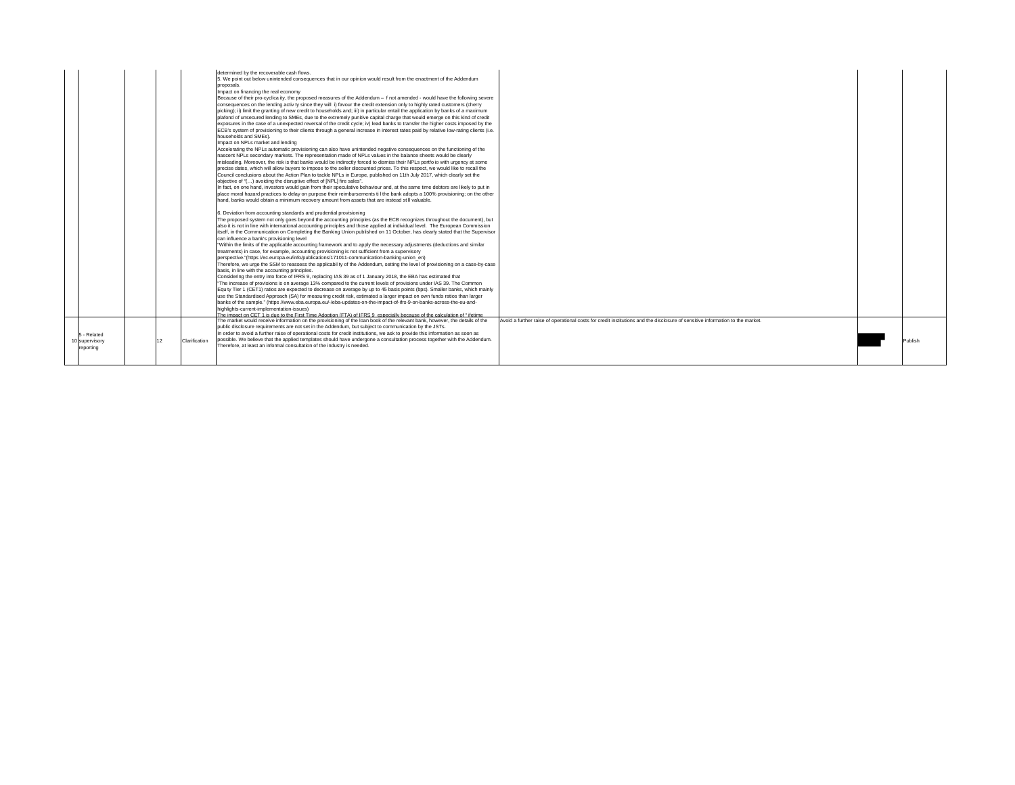|                |    |               | determined by the recoverable cash flows.                                                                                            |                                                                                                                               |         |
|----------------|----|---------------|--------------------------------------------------------------------------------------------------------------------------------------|-------------------------------------------------------------------------------------------------------------------------------|---------|
|                |    |               | 5. We point out below unintended consequences that in our opinion would result from the enactment of the Addendum                    |                                                                                                                               |         |
|                |    |               | proposals.                                                                                                                           |                                                                                                                               |         |
|                |    |               | Impact on financing the real economy                                                                                                 |                                                                                                                               |         |
|                |    |               | Because of their pro-cyclica ity, the proposed measures of the Addendum - f not amended - would have the following severe            |                                                                                                                               |         |
|                |    |               | consequences on the lending activ ty since they will i) favour the credit extension only to highly rated customers (cherry           |                                                                                                                               |         |
|                |    |               | picking); ii) limit the granting of new credit to households and; iii) in particular entail the application by banks of a maximum    |                                                                                                                               |         |
|                |    |               | plafond of unsecured lending to SMEs, due to the extremely punitive capital charge that would emerge on this kind of credit          |                                                                                                                               |         |
|                |    |               | exposures in the case of a unexpected reversal of the credit cycle; iv) lead banks to transfer the higher costs imposed by the       |                                                                                                                               |         |
|                |    |               | ECB's system of provisioning to their clients through a general increase in interest rates paid by relative low-rating clients (i.e. |                                                                                                                               |         |
|                |    |               | households and SMEs).                                                                                                                |                                                                                                                               |         |
|                |    |               | Impact on NPLs market and lending                                                                                                    |                                                                                                                               |         |
|                |    |               | Accelerating the NPLs automatic provisioning can also have unintended negative consequences on the functioning of the                |                                                                                                                               |         |
|                |    |               | nascent NPLs secondary markets. The representation made of NPLs values in the balance sheets would be clearly                        |                                                                                                                               |         |
|                |    |               |                                                                                                                                      |                                                                                                                               |         |
|                |    |               | misleading. Moreover, the risk is that banks would be indirectly forced to dismiss their NPLs portfo io with urgency at some         |                                                                                                                               |         |
|                |    |               | precise dates, which will allow buyers to impose to the seller discounted prices. To this respect, we would like to recall the       |                                                                                                                               |         |
|                |    |               | Council conclusions about the Action Plan to tackle NPLs in Europe, published on 11th July 2017, which clearly set the               |                                                                                                                               |         |
|                |    |               | objective of "() avoiding the disruptive effect of [NPL] fire sales".                                                                |                                                                                                                               |         |
|                |    |               | In fact, on one hand, investors would gain from their speculative behaviour and, at the same time debtors are likely to put in       |                                                                                                                               |         |
|                |    |               | place moral hazard practices to delay on purpose their reimbursements til the bank adopts a 100% provisioning; on the other          |                                                                                                                               |         |
|                |    |               | hand, banks would obtain a minimum recovery amount from assets that are instead st II valuable.                                      |                                                                                                                               |         |
|                |    |               | 6. Deviation from accounting standards and prudential provisioning                                                                   |                                                                                                                               |         |
|                |    |               | The proposed system not only goes beyond the accounting principles (as the ECB recognizes throughout the document), but              |                                                                                                                               |         |
|                |    |               | also it is not in line with international accounting principles and those applied at individual level. The European Commission       |                                                                                                                               |         |
|                |    |               | itself, in the Communication on Completing the Banking Union published on 11 October, has clearly stated that the Supervisor         |                                                                                                                               |         |
|                |    |               | can influence a bank's provisioning level                                                                                            |                                                                                                                               |         |
|                |    |               | "Within the limits of the applicable accounting framework and to apply the necessary adjustments (deductions and similar             |                                                                                                                               |         |
|                |    |               | treatments) in case, for example, accounting provisioning is not sufficient from a supervisory                                       |                                                                                                                               |         |
|                |    |               | perspective."(https://ec.europa.eu/info/publications/171011-communication-banking-union_en)                                          |                                                                                                                               |         |
|                |    |               | Therefore, we urge the SSM to reassess the applicabil ty of the Addendum, setting the level of provisioning on a case-by-case        |                                                                                                                               |         |
|                |    |               |                                                                                                                                      |                                                                                                                               |         |
|                |    |               | basis, in line with the accounting principles.                                                                                       |                                                                                                                               |         |
|                |    |               | Considering the entry into force of IFRS 9, replacing IAS 39 as of 1 January 2018, the EBA has estimated that                        |                                                                                                                               |         |
|                |    |               | "The increase of provisions is on average 13% compared to the current levels of provisions under IAS 39. The Common                  |                                                                                                                               |         |
|                |    |               | Equ ty Tier 1 (CET1) ratios are expected to decrease on average by up to 45 basis points (bps). Smaller banks, which mainly          |                                                                                                                               |         |
|                |    |               | use the Standardised Approach (SA) for measuring credit risk, estimated a larger impact on own funds ratios than larger              |                                                                                                                               |         |
|                |    |               | banks of the sample." (https //www.eba.europa.eu/-/eba-updates-on-the-impact-of-ifrs-9-on-banks-across-the-eu-and-                   |                                                                                                                               |         |
|                |    |               | highlights-current-implementation-issues)                                                                                            |                                                                                                                               |         |
|                |    |               | The impact on CET 1 is due to the First Time Adoption (FTA) of IFRS 9, especially because of the calculation of "ifetime             |                                                                                                                               |         |
|                |    |               | The market would receive information on the provisioning of the loan book of the relevant bank, however, the details of the          | Avoid a further raise of operational costs for credit institutions and the disclosure of sensitive information to the market. |         |
|                |    |               | public disclosure requirements are not set in the Addendum, but subject to communication by the JSTs.                                |                                                                                                                               |         |
| 5 - Related    |    |               | In order to avoid a further raise of operational costs for credit institutions, we ask to provide this information as soon as        |                                                                                                                               |         |
| 10 supervisory | 12 | Clarification | possible. We believe that the applied templates should have undergone a consultation process together with the Addendum.             |                                                                                                                               | Publish |
| reporting      |    |               | Therefore, at least an informal consultation of the industry is needed.                                                              |                                                                                                                               |         |
|                |    |               |                                                                                                                                      |                                                                                                                               |         |
|                |    |               |                                                                                                                                      |                                                                                                                               |         |
|                |    |               |                                                                                                                                      |                                                                                                                               |         |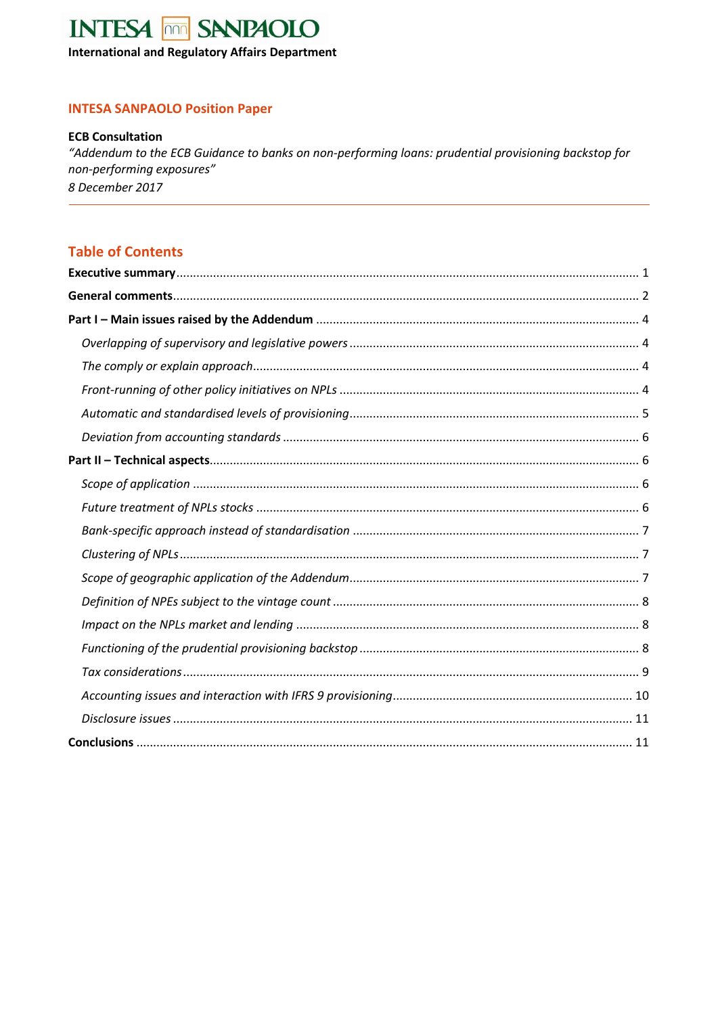# **INTESA non SANPAOLO**

**International and Regulatory Affairs Department** 

## **INTESA SANPAOLO Position Paper**

### **ECB Consultation**

"Addendum to the ECB Guidance to banks on non-performing loans: prudential provisioning backstop for non-performing exposures" 8 December 2017

## **Table of Contents**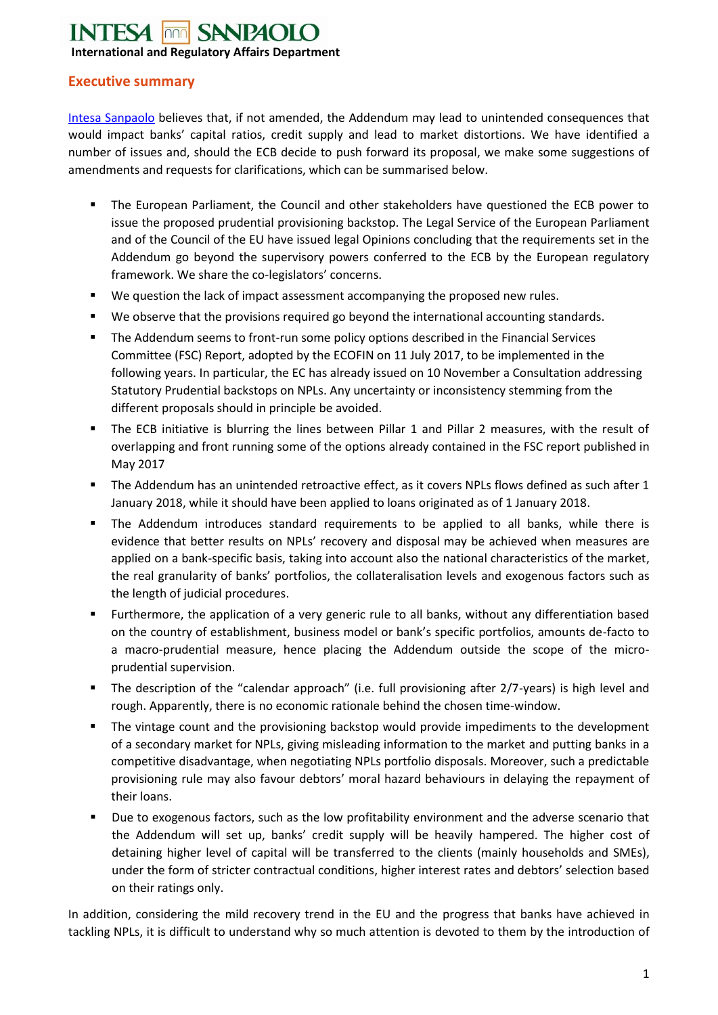## **INTESA FOR SANPAOIO International and Regulatory Affairs Department**

## <span id="page-6-0"></span>**Executive summary**

Intesa Sanpaolo believes that, if not amended, the Addendum may lead to unintended consequences that would impact banks' capital ratios, credit supply and lead to market distortions. We have identified a number of issues and, should the ECB decide to push forward its proposal, we make some suggestions of amendments and requests for clarifications, which can be summarised below.

- The European Parliament, the Council and other stakeholders have questioned the ECB power to issue the proposed prudential provisioning backstop. The Legal Service of the European Parliament and of the Council of the EU have issued legal Opinions concluding that the requirements set in the Addendum go beyond the supervisory powers conferred to the ECB by the European regulatory framework. We share the co-legislators' concerns.
- We question the lack of impact assessment accompanying the proposed new rules.
- We observe that the provisions required go beyond the international accounting standards.
- The Addendum seems to front-run some policy options described in the Financial Services Committee (FSC) Report, adopted by the ECOFIN on 11 July 2017, to be implemented in the following years. In particular, the EC has already issued on 10 November a Consultation addressing Statutory Prudential backstops on NPLs. Any uncertainty or inconsistency stemming from the different proposals should in principle be avoided.
- The ECB initiative is blurring the lines between Pillar 1 and Pillar 2 measures, with the result of overlapping and front running some of the options already contained in the FSC report published in May 2017
- The Addendum has an unintended retroactive effect, as it covers NPLs flows defined as such after 1 January 2018, while it should have been applied to loans originated as of 1 January 2018.
- The Addendum introduces standard requirements to be applied to all banks, while there is evidence that better results on NPLs' recovery and disposal may be achieved when measures are applied on a bank-specific basis, taking into account also the national characteristics of the market, the real granularity of banks' portfolios, the collateralisation levels and exogenous factors such as the length of judicial procedures.
- Furthermore, the application of a very generic rule to all banks, without any differentiation based on the country of establishment, business model or bank's specific portfolios, amounts de-facto to a macro-prudential measure, hence placing the Addendum outside the scope of the microprudential supervision.
- The description of the "calendar approach" (i.e. full provisioning after 2/7-years) is high level and rough. Apparently, there is no economic rationale behind the chosen time-window.
- The vintage count and the provisioning backstop would provide impediments to the development of a secondary market for NPLs, giving misleading information to the market and putting banks in a competitive disadvantage, when negotiating NPLs portfolio disposals. Moreover, such a predictable provisioning rule may also favour debtors' moral hazard behaviours in delaying the repayment of their loans.
- Due to exogenous factors, such as the low profitability environment and the adverse scenario that the Addendum will set up, banks' credit supply will be heavily hampered. The higher cost of detaining higher level of capital will be transferred to the clients (mainly households and SMEs), under the form of stricter contractual conditions, higher interest rates and debtors' selection based on their ratings only.

In addition, considering the mild recovery trend in the EU and the progress that banks have achieved in tackling NPLs, it is difficult to understand why so much attention is devoted to them by the introduction of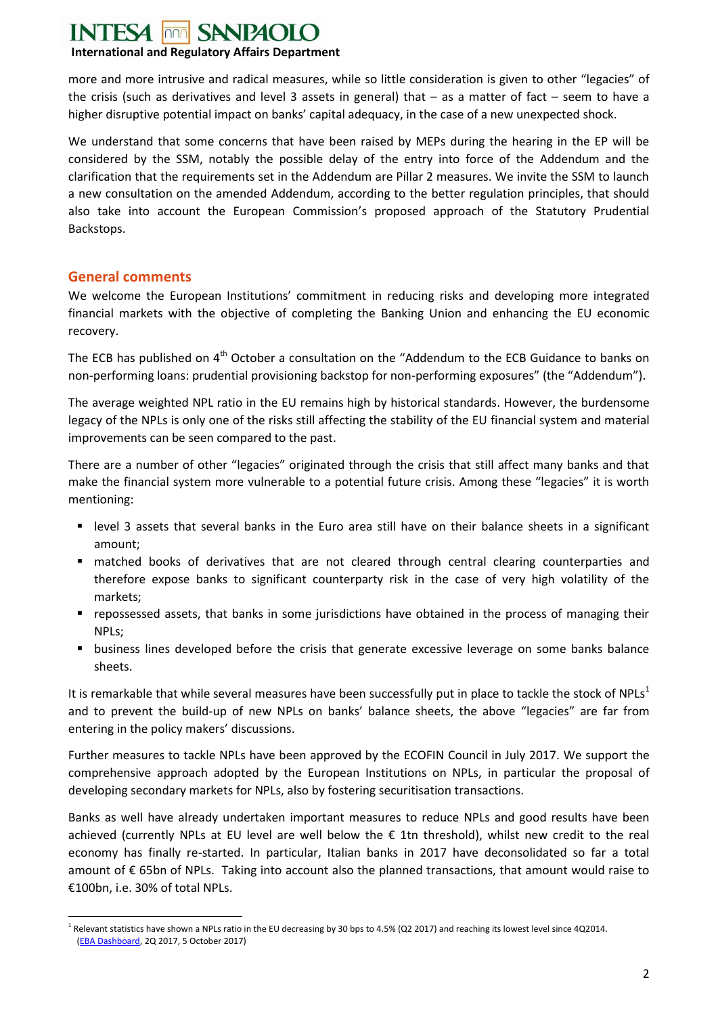#### **INTESA** non **SANPAOLO**

## **International and Regulatory Affairs Department**

more and more intrusive and radical measures, while so little consideration is given to other "legacies" of the crisis (such as derivatives and level 3 assets in general) that – as a matter of fact – seem to have a higher disruptive potential impact on banks' capital adequacy, in the case of a new unexpected shock.

We understand that some concerns that have been raised by MEPs during the hearing in the EP will be considered by the SSM, notably the possible delay of the entry into force of the Addendum and the clarification that the requirements set in the Addendum are Pillar 2 measures. We invite the SSM to launch a new consultation on the amended Addendum, according to the better regulation principles, that should also take into account the European Commission's proposed approach of the Statutory Prudential Backstops.

## <span id="page-7-0"></span>**General comments**

We welcome the European Institutions' commitment in reducing risks and developing more integrated financial markets with the objective of completing the Banking Union and enhancing the EU economic recovery.

The ECB has published on 4<sup>th</sup> October a consultation on the "Addendum to the ECB Guidance to banks on non-performing loans: prudential provisioning backstop for non-performing exposures" (the "Addendum").

The average weighted NPL ratio in the EU remains high by historical standards. However, the burdensome legacy of the NPLs is only one of the risks still affecting the stability of the EU financial system and material improvements can be seen compared to the past.

There are a number of other "legacies" originated through the crisis that still affect many banks and that make the financial system more vulnerable to a potential future crisis. Among these "legacies" it is worth mentioning:

- level 3 assets that several banks in the Euro area still have on their balance sheets in a significant amount;
- matched books of derivatives that are not cleared through central clearing counterparties and therefore expose banks to significant counterparty risk in the case of very high volatility of the markets;
- repossessed assets, that banks in some jurisdictions have obtained in the process of managing their NPLs;
- **•** business lines developed before the crisis that generate excessive leverage on some banks balance sheets.

It is remarkable that while several measures have been successfully put in place to tackle the stock of NPLs<sup>1</sup> and to prevent the build-up of new NPLs on banks' balance sheets, the above "legacies" are far from entering in the policy makers' discussions.

Further measures to tackle NPLs have been approved by the ECOFIN Council in July 2017. We support the comprehensive approach adopted by the European Institutions on NPLs, in particular the proposal of developing secondary markets for NPLs, also by fostering securitisation transactions.

Banks as well have already undertaken important measures to reduce NPLs and good results have been achieved (currently NPLs at EU level are well below the € 1tn threshold), whilst new credit to the real economy has finally re-started. In particular, Italian banks in 2017 have deconsolidated so far a total amount of € 65bn of NPLs. Taking into account also the planned transactions, that amount would raise to €100bn, i.e. 30% of total NPLs.

<sup>1</sup>  $^1$  Relevant statistics have shown a NPLs ratio in the EU decreasing by 30 bps to 4.5% (Q2 2017) and reaching its lowest level since 4Q2014. (EBA Dashboard, 2Q 2017, 5 October 2017)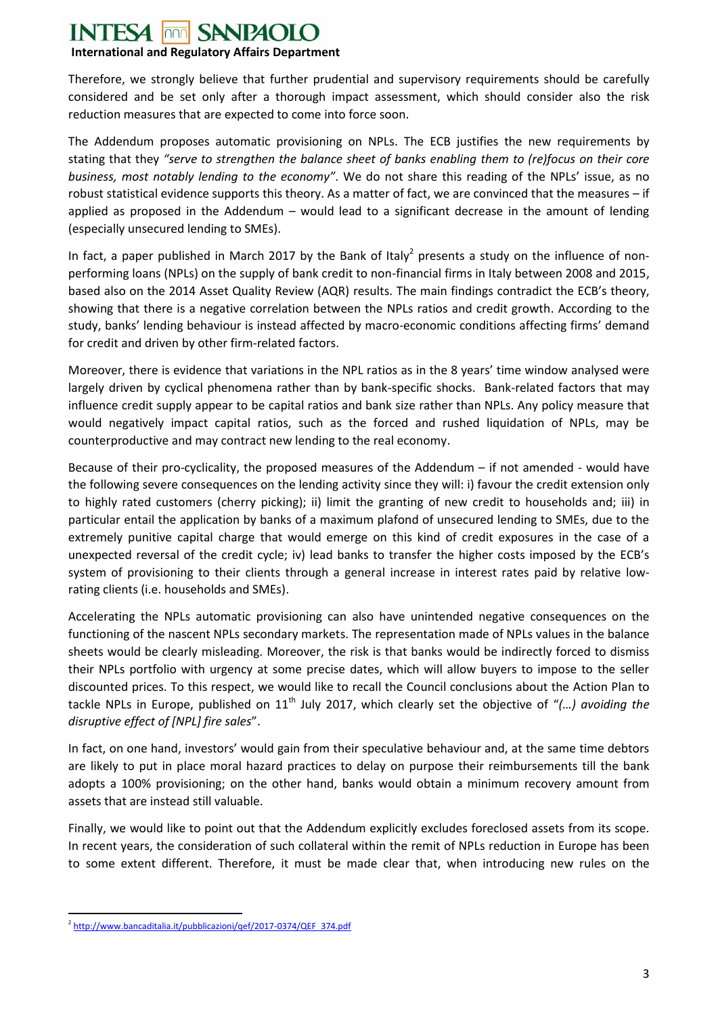### **INTESA SANPAOLO**

## **International and Regulatory Affairs Department**

Therefore, we strongly believe that further prudential and supervisory requirements should be carefully considered and be set only after a thorough impact assessment, which should consider also the risk reduction measures that are expected to come into force soon.

The Addendum proposes automatic provisioning on NPLs. The ECB justifies the new requirements by stating that they *"serve to strengthen the balance sheet of banks enabling them to (re)focus on their core business, most notably lending to the economy"*. We do not share this reading of the NPLs' issue, as no robust statistical evidence supports this theory. As a matter of fact, we are convinced that the measures – if applied as proposed in the Addendum – would lead to a significant decrease in the amount of lending (especially unsecured lending to SMEs).

In fact, a paper published in March 2017 by the Bank of Italy<sup>2</sup> presents a study on the influence of nonperforming loans (NPLs) on the supply of bank credit to non-financial firms in Italy between 2008 and 2015, based also on the 2014 Asset Quality Review (AQR) results. The main findings contradict the ECB's theory, showing that there is a negative correlation between the NPLs ratios and credit growth. According to the study, banks' lending behaviour is instead affected by macro-economic conditions affecting firms' demand for credit and driven by other firm-related factors.

Moreover, there is evidence that variations in the NPL ratios as in the 8 years' time window analysed were largely driven by cyclical phenomena rather than by bank-specific shocks. Bank-related factors that may influence credit supply appear to be capital ratios and bank size rather than NPLs. Any policy measure that would negatively impact capital ratios, such as the forced and rushed liquidation of NPLs, may be counterproductive and may contract new lending to the real economy.

Because of their pro-cyclicality, the proposed measures of the Addendum – if not amended - would have the following severe consequences on the lending activity since they will: i) favour the credit extension only to highly rated customers (cherry picking); ii) limit the granting of new credit to households and; iii) in particular entail the application by banks of a maximum plafond of unsecured lending to SMEs, due to the extremely punitive capital charge that would emerge on this kind of credit exposures in the case of a unexpected reversal of the credit cycle; iv) lead banks to transfer the higher costs imposed by the ECB's system of provisioning to their clients through a general increase in interest rates paid by relative lowrating clients (i.e. households and SMEs).

Accelerating the NPLs automatic provisioning can also have unintended negative consequences on the functioning of the nascent NPLs secondary markets. The representation made of NPLs values in the balance sheets would be clearly misleading. Moreover, the risk is that banks would be indirectly forced to dismiss their NPLs portfolio with urgency at some precise dates, which will allow buyers to impose to the seller discounted prices. To this respect, we would like to recall the Council conclusions about the Action Plan to tackle NPLs in Europe, published on 11<sup>th</sup> July 2017, which clearly set the objective of "(...) avoiding the *disruptive effect of [NPL] fire sales*".

In fact, on one hand, investors' would gain from their speculative behaviour and, at the same time debtors are likely to put in place moral hazard practices to delay on purpose their reimbursements till the bank adopts a 100% provisioning; on the other hand, banks would obtain a minimum recovery amount from assets that are instead still valuable.

Finally, we would like to point out that the Addendum explicitly excludes foreclosed assets from its scope. In recent years, the consideration of such collateral within the remit of NPLs reduction in Europe has been to some extent different. Therefore, it must be made clear that, when introducing new rules on the

 $\overline{a}$ <sup>2</sup> http://www.bancaditalia.it/pubblicazioni/qef/2017-0374/QEF 374.pdf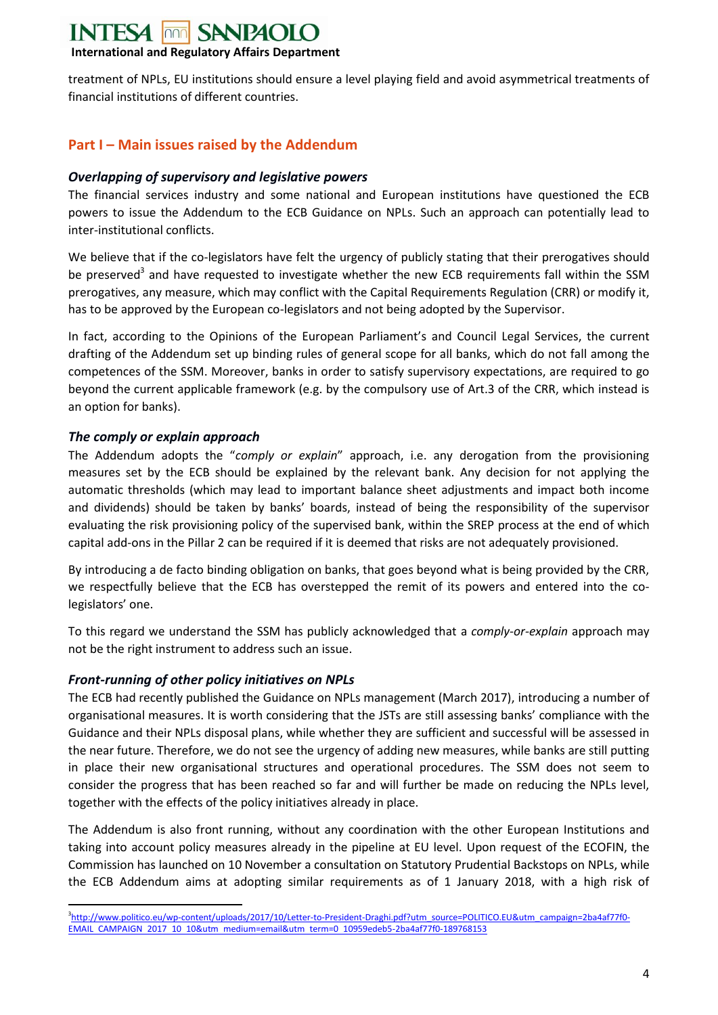#### **INTESA** non **SANPAOLO**

## **International and Regulatory Affairs Department**

treatment of NPLs, EU institutions should ensure a level playing field and avoid asymmetrical treatments of financial institutions of different countries.

## <span id="page-9-0"></span>**Part I – Main issues raised by the Addendum**

### <span id="page-9-1"></span>*Overlapping of supervisory and legislative powers*

The financial services industry and some national and European institutions have questioned the ECB powers to issue the Addendum to the ECB Guidance on NPLs. Such an approach can potentially lead to inter-institutional conflicts.

We believe that if the co-legislators have felt the urgency of publicly stating that their prerogatives should be preserved<sup>3</sup> and have requested to investigate whether the new ECB requirements fall within the SSM prerogatives, any measure, which may conflict with the Capital Requirements Regulation (CRR) or modify it, has to be approved by the European co-legislators and not being adopted by the Supervisor.

In fact, according to the Opinions of the European Parliament's and Council Legal Services, the current drafting of the Addendum set up binding rules of general scope for all banks, which do not fall among the competences of the SSM. Moreover, banks in order to satisfy supervisory expectations, are required to go beyond the current applicable framework (e.g. by the compulsory use of Art.3 of the CRR, which instead is an option for banks).

## <span id="page-9-2"></span>*The comply or explain approach*

The Addendum adopts the "*comply or explain*" approach, i.e. any derogation from the provisioning measures set by the ECB should be explained by the relevant bank. Any decision for not applying the automatic thresholds (which may lead to important balance sheet adjustments and impact both income and dividends) should be taken by banks' boards, instead of being the responsibility of the supervisor evaluating the risk provisioning policy of the supervised bank, within the SREP process at the end of which capital add-ons in the Pillar 2 can be required if it is deemed that risks are not adequately provisioned.

By introducing a de facto binding obligation on banks, that goes beyond what is being provided by the CRR, we respectfully believe that the ECB has overstepped the remit of its powers and entered into the colegislators' one.

To this regard we understand the SSM has publicly acknowledged that a *comply-or-explain* approach may not be the right instrument to address such an issue.

## <span id="page-9-3"></span>*Front-running of other policy initiatives on NPLs*

The ECB had recently published the Guidance on NPLs management (March 2017), introducing a number of organisational measures. It is worth considering that the JSTs are still assessing banks' compliance with the Guidance and their NPLs disposal plans, while whether they are sufficient and successful will be assessed in the near future. Therefore, we do not see the urgency of adding new measures, while banks are still putting in place their new organisational structures and operational procedures. The SSM does not seem to consider the progress that has been reached so far and will further be made on reducing the NPLs level, together with the effects of the policy initiatives already in place.

The Addendum is also front running, without any coordination with the other European Institutions and taking into account policy measures already in the pipeline at EU level. Upon request of the ECOFIN, the Commission has launched on 10 November a consultation on Statutory Prudential Backstops on NPLs, while the ECB Addendum aims at adopting similar requirements as of 1 January 2018, with a high risk of

**<sup>.</sup>** <sup>3</sup>http://www.politico.eu/wp-content/uploads/2017/10/Letter-to-President-Draghi.pdf?utm\_source=POLITICO.EU&utm\_campaign=2ba4af77f0-EMAIL CAMPAIGN 2017 10 10&utm medium=email&utm term=0 10959edeb5-2ba4af77f0-189768153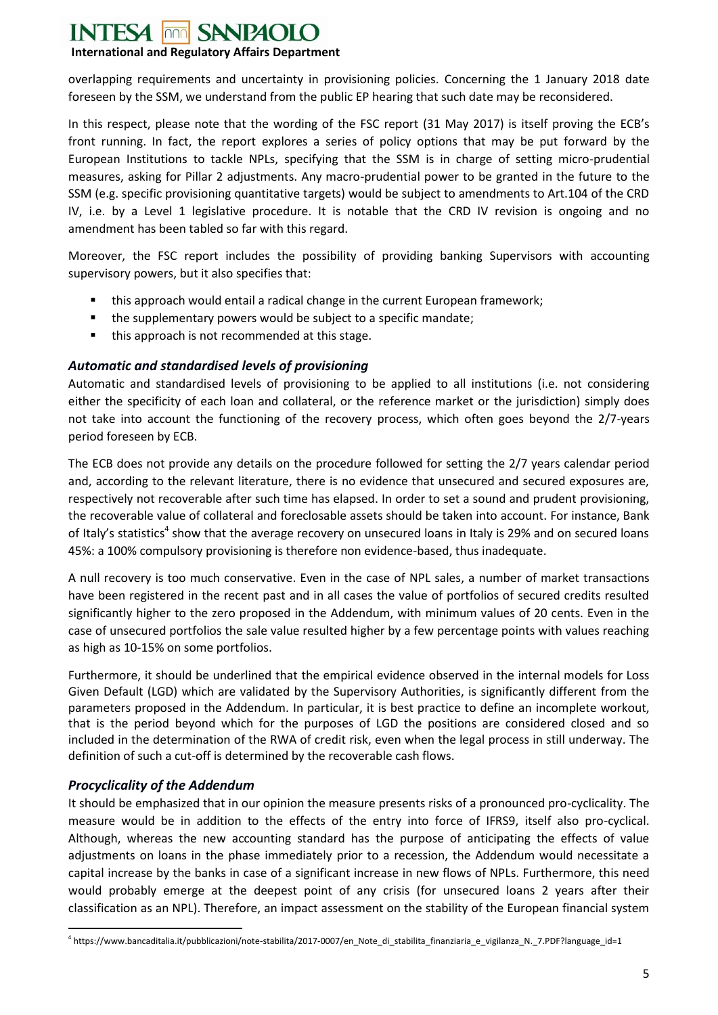#### **SANPAOLO INTESA**  $\overline{\text{non}}$

## **International and Regulatory Affairs Department**

overlapping requirements and uncertainty in provisioning policies. Concerning the 1 January 2018 date foreseen by the SSM, we understand from the public EP hearing that such date may be reconsidered.

In this respect, please note that the wording of the FSC report (31 May 2017) is itself proving the ECB's front running. In fact, the report explores a series of policy options that may be put forward by the European Institutions to tackle NPLs, specifying that the SSM is in charge of setting micro-prudential measures, asking for Pillar 2 adjustments. Any macro-prudential power to be granted in the future to the SSM (e.g. specific provisioning quantitative targets) would be subject to amendments to Art.104 of the CRD IV, i.e. by a Level 1 legislative procedure. It is notable that the CRD IV revision is ongoing and no amendment has been tabled so far with this regard.

Moreover, the FSC report includes the possibility of providing banking Supervisors with accounting supervisory powers, but it also specifies that:

- this approach would entail a radical change in the current European framework;
- **the supplementary powers would be subject to a specific mandate;**
- this approach is not recommended at this stage.

## <span id="page-10-0"></span>*Automatic and standardised levels of provisioning*

Automatic and standardised levels of provisioning to be applied to all institutions (i.e. not considering either the specificity of each loan and collateral, or the reference market or the jurisdiction) simply does not take into account the functioning of the recovery process, which often goes beyond the 2/7-years period foreseen by ECB.

The ECB does not provide any details on the procedure followed for setting the 2/7 years calendar period and, according to the relevant literature, there is no evidence that unsecured and secured exposures are, respectively not recoverable after such time has elapsed. In order to set a sound and prudent provisioning, the recoverable value of collateral and foreclosable assets should be taken into account. For instance, Bank of Italy's statistics<sup>4</sup> show that the average recovery on unsecured loans in Italy is 29% and on secured loans 45%: a 100% compulsory provisioning is therefore non evidence-based, thus inadequate.

A null recovery is too much conservative. Even in the case of NPL sales, a number of market transactions have been registered in the recent past and in all cases the value of portfolios of secured credits resulted significantly higher to the zero proposed in the Addendum, with minimum values of 20 cents. Even in the case of unsecured portfolios the sale value resulted higher by a few percentage points with values reaching as high as 10-15% on some portfolios.

Furthermore, it should be underlined that the empirical evidence observed in the internal models for Loss Given Default (LGD) which are validated by the Supervisory Authorities, is significantly different from the parameters proposed in the Addendum. In particular, it is best practice to define an incomplete workout, that is the period beyond which for the purposes of LGD the positions are considered closed and so included in the determination of the RWA of credit risk, even when the legal process in still underway. The definition of such a cut-off is determined by the recoverable cash flows.

## *Procyclicality of the Addendum*

It should be emphasized that in our opinion the measure presents risks of a pronounced pro-cyclicality. The measure would be in addition to the effects of the entry into force of IFRS9, itself also pro-cyclical. Although, whereas the new accounting standard has the purpose of anticipating the effects of value adjustments on loans in the phase immediately prior to a recession, the Addendum would necessitate a capital increase by the banks in case of a significant increase in new flows of NPLs. Furthermore, this need would probably emerge at the deepest point of any crisis (for unsecured loans 2 years after their classification as an NPL). Therefore, an impact assessment on the stability of the European financial system

**<sup>.</sup>** 4 https://www.bancaditalia.it/pubblicazioni/note-stabilita/2017-0007/en\_Note\_di\_stabilita\_finanziaria\_e\_vigilanza\_N.\_7.PDF?language\_id=1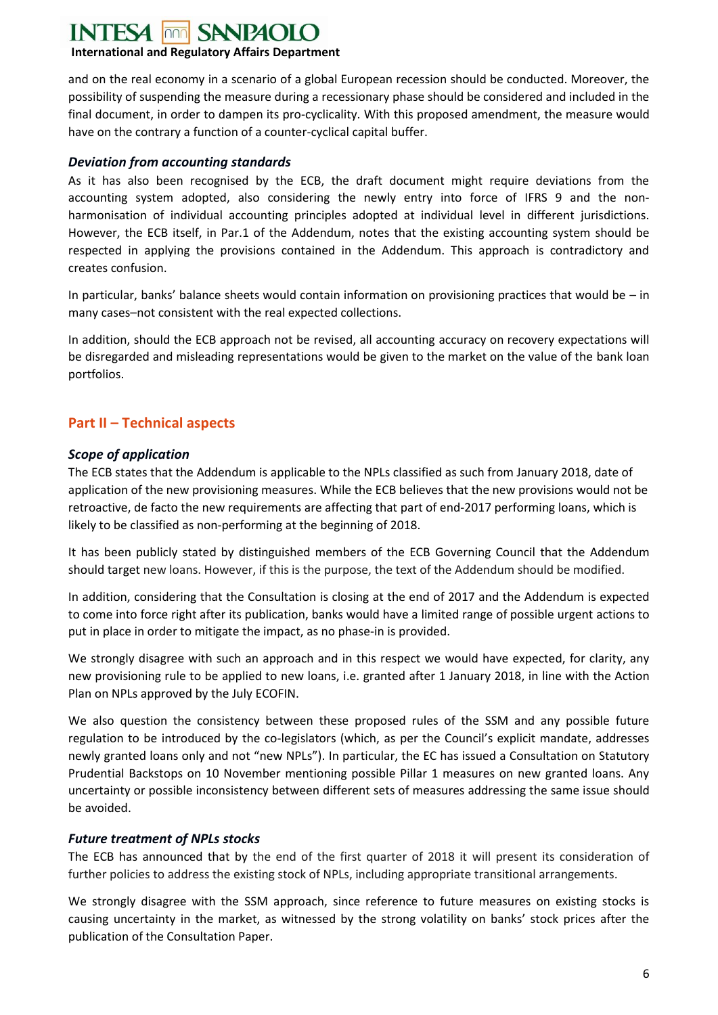#### **INTESA**  $\overline{\text{non}}$ **SANPAOLO**

## **International and Regulatory Affairs Department**

and on the real economy in a scenario of a global European recession should be conducted. Moreover, the possibility of suspending the measure during a recessionary phase should be considered and included in the final document, in order to dampen its pro-cyclicality. With this proposed amendment, the measure would have on the contrary a function of a counter-cyclical capital buffer.

## <span id="page-11-0"></span>*Deviation from accounting standards*

As it has also been recognised by the ECB, the draft document might require deviations from the accounting system adopted, also considering the newly entry into force of IFRS 9 and the nonharmonisation of individual accounting principles adopted at individual level in different jurisdictions. However, the ECB itself, in Par.1 of the Addendum, notes that the existing accounting system should be respected in applying the provisions contained in the Addendum. This approach is contradictory and creates confusion.

In particular, banks' balance sheets would contain information on provisioning practices that would be – in many cases–not consistent with the real expected collections.

In addition, should the ECB approach not be revised, all accounting accuracy on recovery expectations will be disregarded and misleading representations would be given to the market on the value of the bank loan portfolios.

## <span id="page-11-1"></span>**Part II – Technical aspects**

## <span id="page-11-2"></span>*Scope of application*

The ECB states that the Addendum is applicable to the NPLs classified as such from January 2018, date of application of the new provisioning measures. While the ECB believes that the new provisions would not be retroactive, de facto the new requirements are affecting that part of end-2017 performing loans, which is likely to be classified as non-performing at the beginning of 2018.

It has been publicly stated by distinguished members of the ECB Governing Council that the Addendum should target new loans. However, if this is the purpose, the text of the Addendum should be modified.

In addition, considering that the Consultation is closing at the end of 2017 and the Addendum is expected to come into force right after its publication, banks would have a limited range of possible urgent actions to put in place in order to mitigate the impact, as no phase-in is provided.

We strongly disagree with such an approach and in this respect we would have expected, for clarity, any new provisioning rule to be applied to new loans, i.e. granted after 1 January 2018, in line with the Action Plan on NPLs approved by the July ECOFIN.

We also question the consistency between these proposed rules of the SSM and any possible future regulation to be introduced by the co-legislators (which, as per the Council's explicit mandate, addresses newly granted loans only and not "new NPLs"). In particular, the EC has issued a Consultation on Statutory Prudential Backstops on 10 November mentioning possible Pillar 1 measures on new granted loans. Any uncertainty or possible inconsistency between different sets of measures addressing the same issue should be avoided.

## <span id="page-11-3"></span>*Future treatment of NPLs stocks*

The ECB has announced that by the end of the first quarter of 2018 it will present its consideration of further policies to address the existing stock of NPLs, including appropriate transitional arrangements.

We strongly disagree with the SSM approach, since reference to future measures on existing stocks is causing uncertainty in the market, as witnessed by the strong volatility on banks' stock prices after the publication of the Consultation Paper.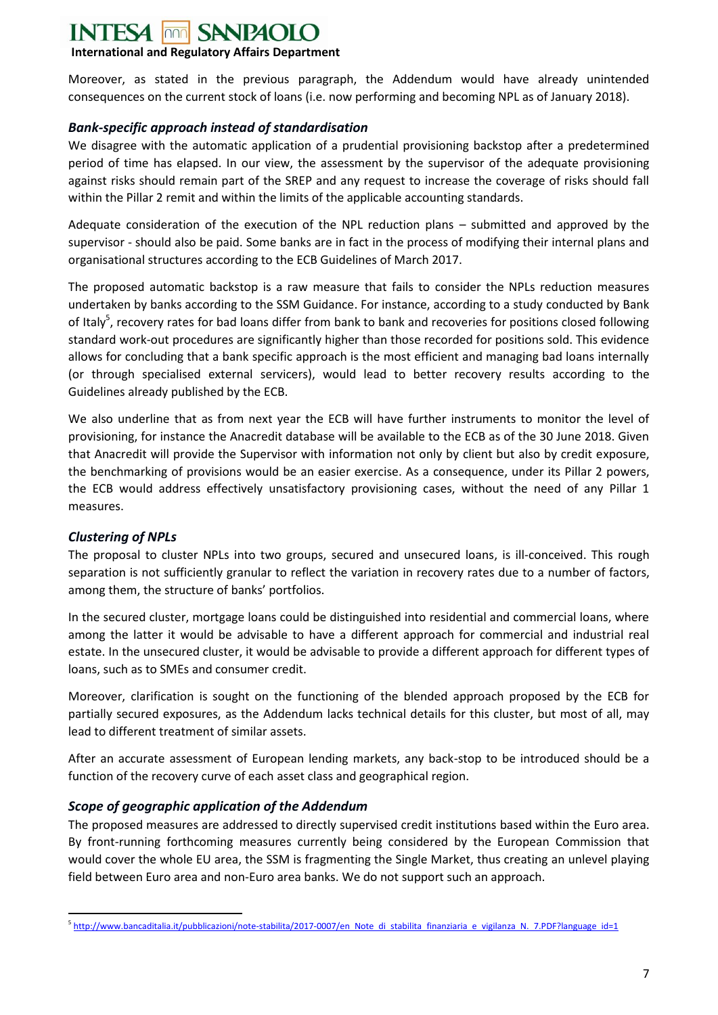### **INTESA FOR SANPAOLO**

## **International and Regulatory Affairs Department**

Moreover, as stated in the previous paragraph, the Addendum would have already unintended consequences on the current stock of loans (i.e. now performing and becoming NPL as of January 2018).

## <span id="page-12-0"></span>*Bank-specific approach instead of standardisation*

We disagree with the automatic application of a prudential provisioning backstop after a predetermined period of time has elapsed. In our view, the assessment by the supervisor of the adequate provisioning against risks should remain part of the SREP and any request to increase the coverage of risks should fall within the Pillar 2 remit and within the limits of the applicable accounting standards.

Adequate consideration of the execution of the NPL reduction plans – submitted and approved by the supervisor - should also be paid. Some banks are in fact in the process of modifying their internal plans and organisational structures according to the ECB Guidelines of March 2017.

The proposed automatic backstop is a raw measure that fails to consider the NPLs reduction measures undertaken by banks according to the SSM Guidance. For instance, according to a study conducted by Bank of Italy<sup>5</sup>, recovery rates for bad loans differ from bank to bank and recoveries for positions closed following standard work-out procedures are significantly higher than those recorded for positions sold. This evidence allows for concluding that a bank specific approach is the most efficient and managing bad loans internally (or through specialised external servicers), would lead to better recovery results according to the Guidelines already published by the ECB.

We also underline that as from next year the ECB will have further instruments to monitor the level of provisioning, for instance the Anacredit database will be available to the ECB as of the 30 June 2018. Given that Anacredit will provide the Supervisor with information not only by client but also by credit exposure, the benchmarking of provisions would be an easier exercise. As a consequence, under its Pillar 2 powers, the ECB would address effectively unsatisfactory provisioning cases, without the need of any Pillar 1 measures.

## <span id="page-12-1"></span>*Clustering of NPLs*

 $\overline{a}$ 

The proposal to cluster NPLs into two groups, secured and unsecured loans, is ill-conceived. This rough separation is not sufficiently granular to reflect the variation in recovery rates due to a number of factors, among them, the structure of banks' portfolios.

In the secured cluster, mortgage loans could be distinguished into residential and commercial loans, where among the latter it would be advisable to have a different approach for commercial and industrial real estate. In the unsecured cluster, it would be advisable to provide a different approach for different types of loans, such as to SMEs and consumer credit.

Moreover, clarification is sought on the functioning of the blended approach proposed by the ECB for partially secured exposures, as the Addendum lacks technical details for this cluster, but most of all, may lead to different treatment of similar assets.

After an accurate assessment of European lending markets, any back-stop to be introduced should be a function of the recovery curve of each asset class and geographical region.

## <span id="page-12-2"></span>*Scope of geographic application of the Addendum*

The proposed measures are addressed to directly supervised credit institutions based within the Euro area. By front-running forthcoming measures currently being considered by the European Commission that would cover the whole EU area, the SSM is fragmenting the Single Market, thus creating an unlevel playing field between Euro area and non-Euro area banks. We do not support such an approach.

<sup>&</sup>lt;sup>5</sup> http://www.bancaditalia.it/pubblicazioni/note-stabilita/2017-0007/en Note di stabilita finanziaria e vigilanza N. 7.PDF?language id=1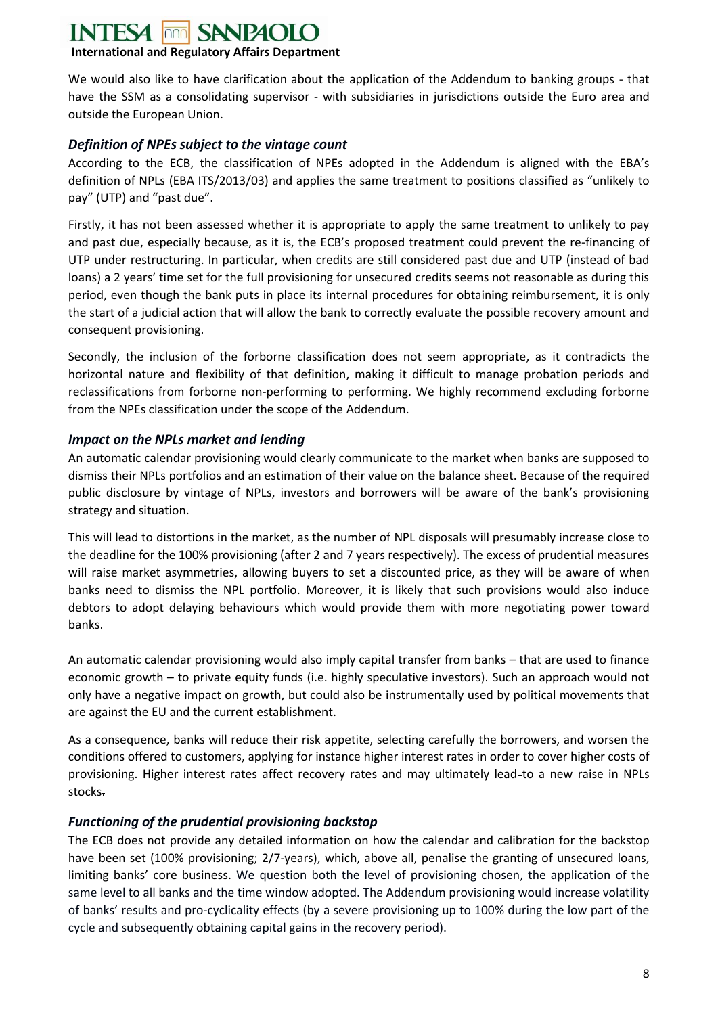# **INTESA FOR SANPAOIO**

## **International and Regulatory Affairs Department**

We would also like to have clarification about the application of the Addendum to banking groups - that have the SSM as a consolidating supervisor - with subsidiaries in jurisdictions outside the Euro area and outside the European Union.

## <span id="page-13-0"></span>*Definition of NPEs subject to the vintage count*

According to the ECB, the classification of NPEs adopted in the Addendum is aligned with the EBA's definition of NPLs (EBA ITS/2013/03) and applies the same treatment to positions classified as "unlikely to pay" (UTP) and "past due".

Firstly, it has not been assessed whether it is appropriate to apply the same treatment to unlikely to pay and past due, especially because, as it is, the ECB's proposed treatment could prevent the re-financing of UTP under restructuring. In particular, when credits are still considered past due and UTP (instead of bad loans) a 2 years' time set for the full provisioning for unsecured credits seems not reasonable as during this period, even though the bank puts in place its internal procedures for obtaining reimbursement, it is only the start of a judicial action that will allow the bank to correctly evaluate the possible recovery amount and consequent provisioning.

Secondly, the inclusion of the forborne classification does not seem appropriate, as it contradicts the horizontal nature and flexibility of that definition, making it difficult to manage probation periods and reclassifications from forborne non-performing to performing. We highly recommend excluding forborne from the NPEs classification under the scope of the Addendum.

## <span id="page-13-1"></span>*Impact on the NPLs market and lending*

An automatic calendar provisioning would clearly communicate to the market when banks are supposed to dismiss their NPLs portfolios and an estimation of their value on the balance sheet. Because of the required public disclosure by vintage of NPLs, investors and borrowers will be aware of the bank's provisioning strategy and situation.

This will lead to distortions in the market, as the number of NPL disposals will presumably increase close to the deadline for the 100% provisioning (after 2 and 7 years respectively). The excess of prudential measures will raise market asymmetries, allowing buyers to set a discounted price, as they will be aware of when banks need to dismiss the NPL portfolio. Moreover, it is likely that such provisions would also induce debtors to adopt delaying behaviours which would provide them with more negotiating power toward banks.

An automatic calendar provisioning would also imply capital transfer from banks – that are used to finance economic growth – to private equity funds (i.e. highly speculative investors). Such an approach would not only have a negative impact on growth, but could also be instrumentally used by political movements that are against the EU and the current establishment.

As a consequence, banks will reduce their risk appetite, selecting carefully the borrowers, and worsen the conditions offered to customers, applying for instance higher interest rates in order to cover higher costs of provisioning. Higher interest rates affect recovery rates and may ultimately lead-to a new raise in NPLs stocks.

## <span id="page-13-2"></span>*Functioning of the prudential provisioning backstop*

The ECB does not provide any detailed information on how the calendar and calibration for the backstop have been set (100% provisioning; 2/7-years), which, above all, penalise the granting of unsecured loans, limiting banks' core business. We question both the level of provisioning chosen, the application of the same level to all banks and the time window adopted. The Addendum provisioning would increase volatility of banks' results and pro-cyclicality effects (by a severe provisioning up to 100% during the low part of the cycle and subsequently obtaining capital gains in the recovery period).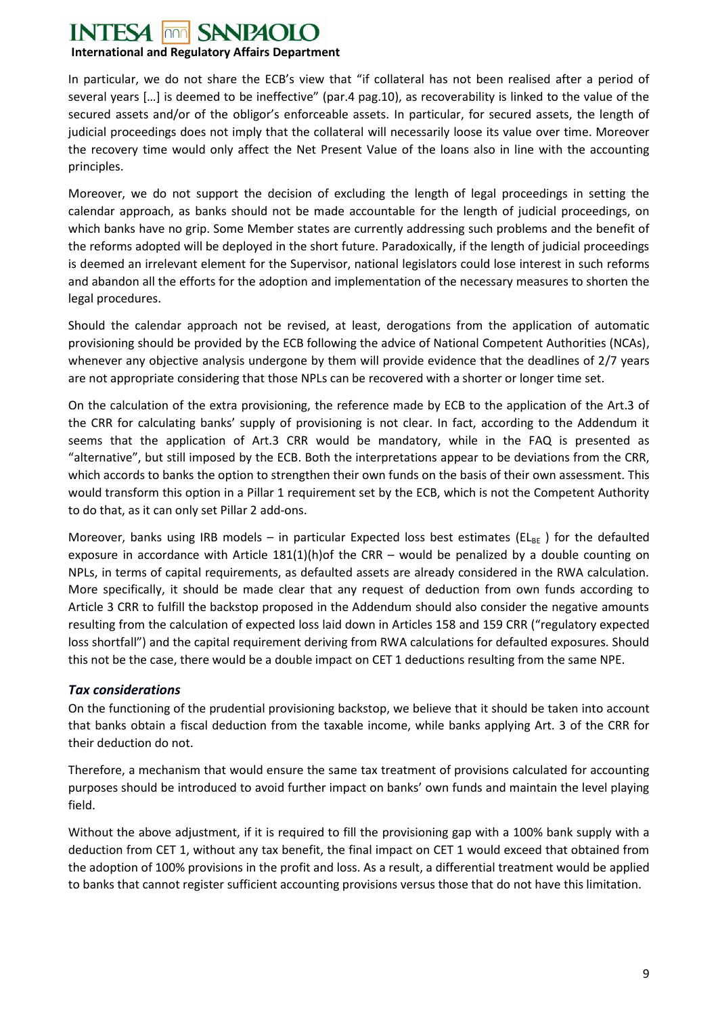#### **INTESA SANPAOLO** non

## **International and Regulatory Affairs Department**

In particular, we do not share the ECB's view that "if collateral has not been realised after a period of several years […] is deemed to be ineffective" (par.4 pag.10), as recoverability is linked to the value of the secured assets and/or of the obligor's enforceable assets. In particular, for secured assets, the length of judicial proceedings does not imply that the collateral will necessarily loose its value over time. Moreover the recovery time would only affect the Net Present Value of the loans also in line with the accounting principles.

Moreover, we do not support the decision of excluding the length of legal proceedings in setting the calendar approach, as banks should not be made accountable for the length of judicial proceedings, on which banks have no grip. Some Member states are currently addressing such problems and the benefit of the reforms adopted will be deployed in the short future. Paradoxically, if the length of judicial proceedings is deemed an irrelevant element for the Supervisor, national legislators could lose interest in such reforms and abandon all the efforts for the adoption and implementation of the necessary measures to shorten the legal procedures.

Should the calendar approach not be revised, at least, derogations from the application of automatic provisioning should be provided by the ECB following the advice of National Competent Authorities (NCAs), whenever any objective analysis undergone by them will provide evidence that the deadlines of 2/7 years are not appropriate considering that those NPLs can be recovered with a shorter or longer time set.

On the calculation of the extra provisioning, the reference made by ECB to the application of the Art.3 of the CRR for calculating banks' supply of provisioning is not clear. In fact, according to the Addendum it seems that the application of Art.3 CRR would be mandatory, while in the FAQ is presented as "alternative", but still imposed by the ECB. Both the interpretations appear to be deviations from the CRR, which accords to banks the option to strengthen their own funds on the basis of their own assessment. This would transform this option in a Pillar 1 requirement set by the ECB, which is not the Competent Authority to do that, as it can only set Pillar 2 add-ons.

Moreover, banks using IRB models – in particular Expected loss best estimates (EL<sub>BE</sub>) for the defaulted exposure in accordance with Article  $181(1)(h)$ of the CRR – would be penalized by a double counting on NPLs, in terms of capital requirements, as defaulted assets are already considered in the RWA calculation. More specifically, it should be made clear that any request of deduction from own funds according to Article 3 CRR to fulfill the backstop proposed in the Addendum should also consider the negative amounts resulting from the calculation of expected loss laid down in Articles 158 and 159 CRR ("regulatory expected loss shortfall") and the capital requirement deriving from RWA calculations for defaulted exposures. Should this not be the case, there would be a double impact on CET 1 deductions resulting from the same NPE.

## <span id="page-14-0"></span>*Tax considerations*

On the functioning of the prudential provisioning backstop, we believe that it should be taken into account that banks obtain a fiscal deduction from the taxable income, while banks applying Art. 3 of the CRR for their deduction do not.

Therefore, a mechanism that would ensure the same tax treatment of provisions calculated for accounting purposes should be introduced to avoid further impact on banks' own funds and maintain the level playing field.

Without the above adjustment, if it is required to fill the provisioning gap with a 100% bank supply with a deduction from CET 1, without any tax benefit, the final impact on CET 1 would exceed that obtained from the adoption of 100% provisions in the profit and loss. As a result, a differential treatment would be applied to banks that cannot register sufficient accounting provisions versus those that do not have this limitation.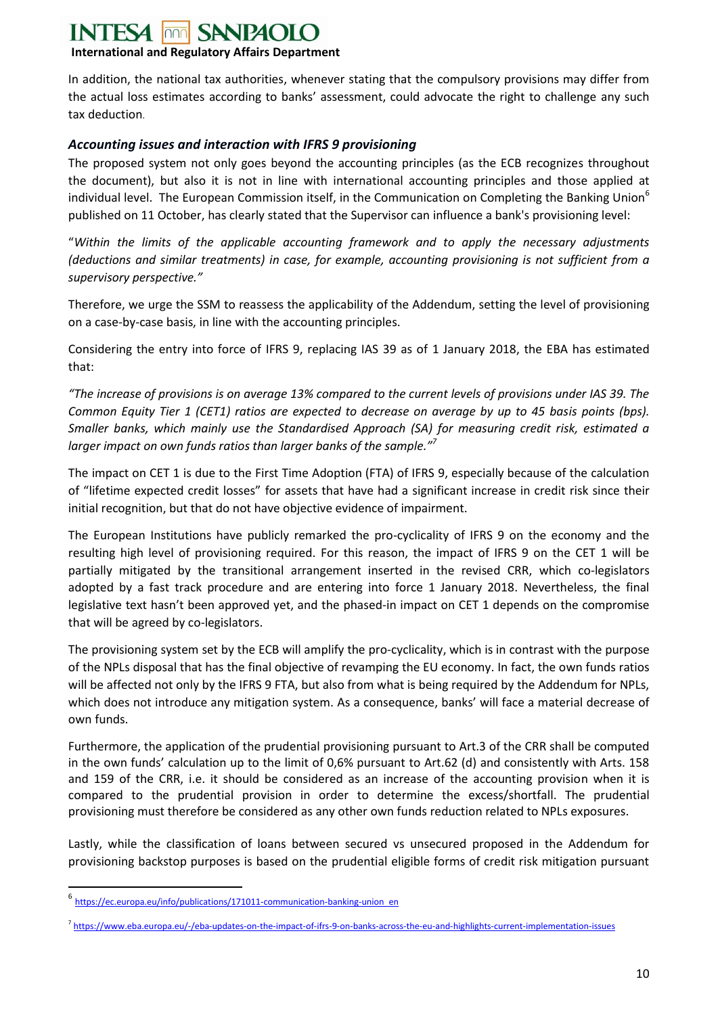### **INTESA SANPAOLO**

## **International and Regulatory Affairs Department**

In addition, the national tax authorities, whenever stating that the compulsory provisions may differ from the actual loss estimates according to banks' assessment, could advocate the right to challenge any such tax deduction.

## <span id="page-15-0"></span>*Accounting issues and interaction with IFRS 9 provisioning*

The proposed system not only goes beyond the accounting principles (as the ECB recognizes throughout the document), but also it is not in line with international accounting principles and those applied at individual level. The European Commission itself, in the Communication on Completing the Banking Union<sup>6</sup> published on 11 October, has clearly stated that the Supervisor can influence a bank's provisioning level:

"*Within the limits of the applicable accounting framework and to apply the necessary adjustments (deductions and similar treatments) in case, for example, accounting provisioning is not sufficient from a supervisory perspective."*

Therefore, we urge the SSM to reassess the applicability of the Addendum, setting the level of provisioning on a case-by-case basis, in line with the accounting principles.

Considering the entry into force of IFRS 9, replacing IAS 39 as of 1 January 2018, the EBA has estimated that:

*"The increase of provisions is on average 13% compared to the current levels of provisions under IAS 39. The Common Equity Tier 1 (CET1) ratios are expected to decrease on average by up to 45 basis points (bps). Smaller banks, which mainly use the Standardised Approach (SA) for measuring credit risk, estimated a larger impact on own funds ratios than larger banks of the sample."<sup>7</sup>*

The impact on CET 1 is due to the First Time Adoption (FTA) of IFRS 9, especially because of the calculation of "lifetime expected credit losses" for assets that have had a significant increase in credit risk since their initial recognition, but that do not have objective evidence of impairment.

The European Institutions have publicly remarked the pro-cyclicality of IFRS 9 on the economy and the resulting high level of provisioning required. For this reason, the impact of IFRS 9 on the CET 1 will be partially mitigated by the transitional arrangement inserted in the revised CRR, which co-legislators adopted by a fast track procedure and are entering into force 1 January 2018. Nevertheless, the final legislative text hasn't been approved yet, and the phased-in impact on CET 1 depends on the compromise that will be agreed by co-legislators.

The provisioning system set by the ECB will amplify the pro-cyclicality, which is in contrast with the purpose of the NPLs disposal that has the final objective of revamping the EU economy. In fact, the own funds ratios will be affected not only by the IFRS 9 FTA, but also from what is being required by the Addendum for NPLs, which does not introduce any mitigation system. As a consequence, banks' will face a material decrease of own funds.

Furthermore, the application of the prudential provisioning pursuant to Art.3 of the CRR shall be computed in the own funds' calculation up to the limit of 0,6% pursuant to Art.62 (d) and consistently with Arts. 158 and 159 of the CRR, i.e. it should be considered as an increase of the accounting provision when it is compared to the prudential provision in order to determine the excess/shortfall. The prudential provisioning must therefore be considered as any other own funds reduction related to NPLs exposures.

Lastly, while the classification of loans between secured vs unsecured proposed in the Addendum for provisioning backstop purposes is based on the prudential eligible forms of credit risk mitigation pursuant

**.** 

<sup>6</sup> https://ec.europa.eu/info/publications/171011-communication-banking-union en

<sup>&</sup>lt;sup>7</sup> https://www.eba.europa.eu/-/eba-updates-on-the-impact-of-ifrs-9-on-banks-across-the-eu-and-highlights-current-implementation-issues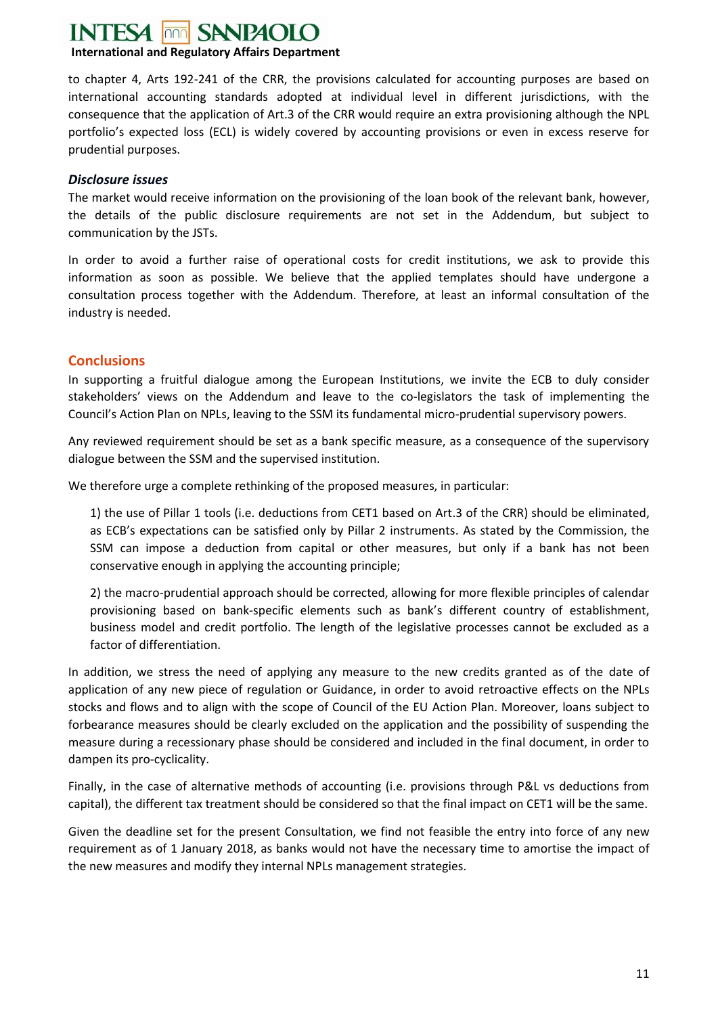# **SANPAOLO**

## **International and Regulatory Affairs Department**

to chapter 4, Arts 192-241 of the CRR, the provisions calculated for accounting purposes are based on international accounting standards adopted at individual level in different jurisdictions, with the consequence that the application of Art.3 of the CRR would require an extra provisioning although the NPL portfolio's expected loss (ECL) is widely covered by accounting provisions or even in excess reserve for prudential purposes.

### <span id="page-16-0"></span>*Disclosure issues*

The market would receive information on the provisioning of the loan book of the relevant bank, however, the details of the public disclosure requirements are not set in the Addendum, but subject to communication by the JSTs.

In order to avoid a further raise of operational costs for credit institutions, we ask to provide this information as soon as possible. We believe that the applied templates should have undergone a consultation process together with the Addendum. Therefore, at least an informal consultation of the industry is needed.

## <span id="page-16-1"></span>**Conclusions**

In supporting a fruitful dialogue among the European Institutions, we invite the ECB to duly consider stakeholders' views on the Addendum and leave to the co-legislators the task of implementing the Council's Action Plan on NPLs, leaving to the SSM its fundamental micro-prudential supervisory powers.

Any reviewed requirement should be set as a bank specific measure, as a consequence of the supervisory dialogue between the SSM and the supervised institution.

We therefore urge a complete rethinking of the proposed measures, in particular:

1) the use of Pillar 1 tools (i.e. deductions from CET1 based on Art.3 of the CRR) should be eliminated, as ECB's expectations can be satisfied only by Pillar 2 instruments. As stated by the Commission, the SSM can impose a deduction from capital or other measures, but only if a bank has not been conservative enough in applying the accounting principle;

2) the macro-prudential approach should be corrected, allowing for more flexible principles of calendar provisioning based on bank-specific elements such as bank's different country of establishment, business model and credit portfolio. The length of the legislative processes cannot be excluded as a factor of differentiation.

In addition, we stress the need of applying any measure to the new credits granted as of the date of application of any new piece of regulation or Guidance, in order to avoid retroactive effects on the NPLs stocks and flows and to align with the scope of Council of the EU Action Plan. Moreover, loans subject to forbearance measures should be clearly excluded on the application and the possibility of suspending the measure during a recessionary phase should be considered and included in the final document, in order to dampen its pro-cyclicality.

Finally, in the case of alternative methods of accounting (i.e. provisions through P&L vs deductions from capital), the different tax treatment should be considered so that the final impact on CET1 will be the same.

Given the deadline set for the present Consultation, we find not feasible the entry into force of any new requirement as of 1 January 2018, as banks would not have the necessary time to amortise the impact of the new measures and modify they internal NPLs management strategies.